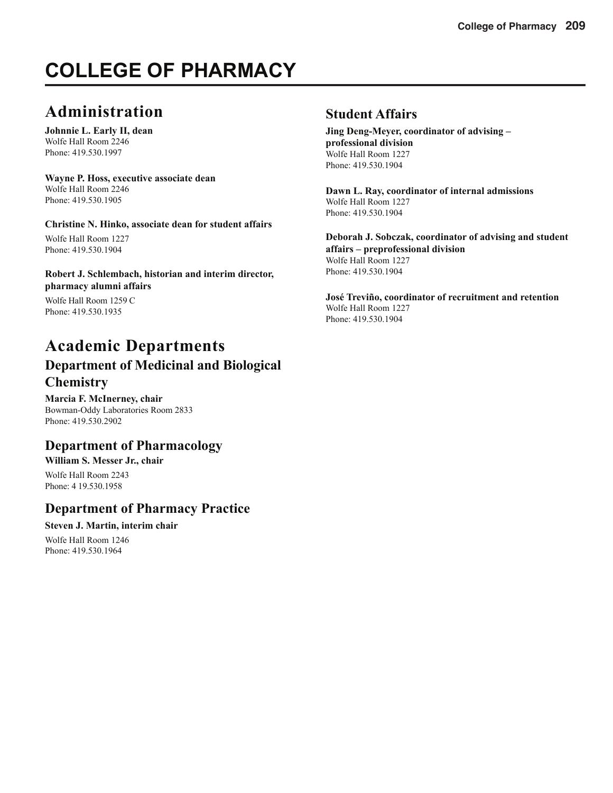# **COLLEGE OF PHARMACY**

# **Administration**

**Johnnie L. Early II, dean** Wolfe Hall Room 2246 Phone: 419.530.1997

#### **Wayne P. Hoss, executive associate dean** Wolfe Hall Room 2246 Phone: 419.530.1905

## **Christine N. Hinko, associate dean for student affairs**

Wolfe Hall Room 1227 Phone: 419.530.1904

## **Robert J. Schlembach, historian and interim director, pharmacy alumni affairs**

Wolfe Hall Room 1259 C Phone: 419.530.1935

# **Academic Departments Department of Medicinal and Biological Chemistry**

**Marcia F. McInerney, chair** Bowman-Oddy Laboratories Room 2833 Phone: 419.530.2902

# **Department of Pharmacology**

# **William S. Messer Jr., chair**

Wolfe Hall Room 2243 Phone: 4 19.530.1958

# **Department of Pharmacy Practice**

## **Steven J. Martin, interim chair**

Wolfe Hall Room 1246 Phone: 419.530.1964

## **Student Affairs**

**Jing Deng-Meyer, coordinator of advising – professional division** Wolfe Hall Room 1227 Phone: 419.530.1904

**Dawn L. Ray, coordinator of internal admissions** Wolfe Hall Room 1227 Phone: 419.530.1904

**Deborah J. Sobczak, coordinator of advising and student affairs – preprofessional division** Wolfe Hall Room 1227 Phone: 419.530.1904

**José Treviño, coordinator of recruitment and retention** Wolfe Hall Room 1227 Phone: 419.530.1904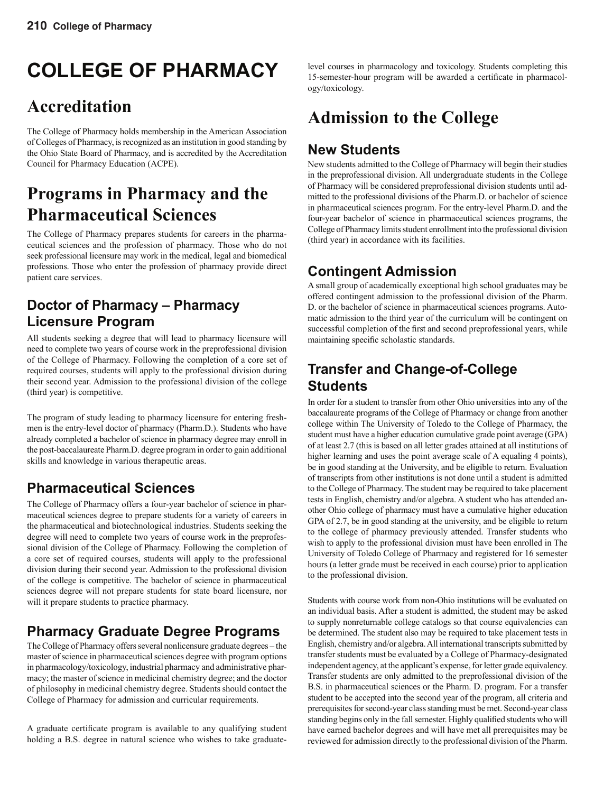# **COLLEGE OF PHARMACY**

# **Accreditation**

The College of Pharmacy holds membership in the American Association of Colleges of Pharmacy, is recognized as an institution in good standing by the Ohio State Board of Pharmacy, and is accredited by the Accreditation Council for Pharmacy Education (ACPE).

# **Programs in Pharmacy and the Pharmaceutical Sciences**

The College of Pharmacy prepares students for careers in the pharmaceutical sciences and the profession of pharmacy. Those who do not seek professional licensure may work in the medical, legal and biomedical professions. Those who enter the profession of pharmacy provide direct patient care services.

# **Doctor of Pharmacy – Pharmacy Licensure Program**

All students seeking a degree that will lead to pharmacy licensure will need to complete two years of course work in the preprofessional division of the College of Pharmacy. Following the completion of a core set of required courses, students will apply to the professional division during their second year. Admission to the professional division of the college (third year) is competitive.

The program of study leading to pharmacy licensure for entering freshmen is the entry-level doctor of pharmacy (Pharm.D.). Students who have already completed a bachelor of science in pharmacy degree may enroll in the post-baccalaureate Pharm.D. degree program in order to gain additional skills and knowledge in various therapeutic areas.

# **Pharmaceutical Sciences**

The College of Pharmacy offers a four-year bachelor of science in pharmaceutical sciences degree to prepare students for a variety of careers in the pharmaceutical and biotechnological industries. Students seeking the degree will need to complete two years of course work in the preprofessional division of the College of Pharmacy. Following the completion of a core set of required courses, students will apply to the professional division during their second year. Admission to the professional division of the college is competitive. The bachelor of science in pharmaceutical sciences degree will not prepare students for state board licensure, nor will it prepare students to practice pharmacy.

# **Pharmacy Graduate Degree Programs**

The College of Pharmacy offers several nonlicensure graduate degrees – the master of science in pharmaceutical sciences degree with program options in pharmacology/toxicology, industrial pharmacy and administrative pharmacy; the master of science in medicinal chemistry degree; and the doctor of philosophy in medicinal chemistry degree. Students should contact the College of Pharmacy for admission and curricular requirements.

A graduate certificate program is available to any qualifying student holding a B.S. degree in natural science who wishes to take graduate-

level courses in pharmacology and toxicology. Students completing this 15-semester-hour program will be awarded a certificate in pharmacology/toxicology.

# **Admission to the College**

# **New Students**

New students admitted to the College of Pharmacy will begin their studies in the preprofessional division. All undergraduate students in the College of Pharmacy will be considered preprofessional division students until admitted to the professional divisions of the Pharm.D. or bachelor of science in pharmaceutical sciences program. For the entry-level Pharm.D. and the four-year bachelor of science in pharmaceutical sciences programs, the College of Pharmacy limits student enrollment into the professional division (third year) in accordance with its facilities.

# **Contingent Admission**

A small group of academically exceptional high school graduates may be offered contingent admission to the professional division of the Pharm. D. or the bachelor of science in pharmaceutical sciences programs. Automatic admission to the third year of the curriculum will be contingent on successful completion of the first and second preprofessional years, while maintaining specific scholastic standards.

# **Transfer and Change-of-College Students**

In order for a student to transfer from other Ohio universities into any of the baccalaureate programs of the College of Pharmacy or change from another college within The University of Toledo to the College of Pharmacy, the student must have a higher education cumulative grade point average (GPA) of at least 2.7 (this is based on all letter grades attained at all institutions of higher learning and uses the point average scale of A equaling 4 points), be in good standing at the University, and be eligible to return. Evaluation of transcripts from other institutions is not done until a student is admitted to the College of Pharmacy. The student may be required to take placement tests in English, chemistry and/or algebra. A student who has attended another Ohio college of pharmacy must have a cumulative higher education GPA of 2.7, be in good standing at the university, and be eligible to return to the college of pharmacy previously attended. Transfer students who wish to apply to the professional division must have been enrolled in The University of Toledo College of Pharmacy and registered for 16 semester hours (a letter grade must be received in each course) prior to application to the professional division.

Students with course work from non-Ohio institutions will be evaluated on an individual basis. After a student is admitted, the student may be asked to supply nonreturnable college catalogs so that course equivalencies can be determined. The student also may be required to take placement tests in English, chemistry and/or algebra. All international transcripts submitted by transfer students must be evaluated by a College of Pharmacy-designated independent agency, at the applicant's expense, for letter grade equivalency. Transfer students are only admitted to the preprofessional division of the B.S. in pharmaceutical sciences or the Pharm. D. program. For a transfer student to be accepted into the second year of the program, all criteria and prerequisites for second-year class standing must be met. Second-year class standing begins only in the fall semester. Highly qualified students who will have earned bachelor degrees and will have met all prerequisites may be reviewed for admission directly to the professional division of the Pharm.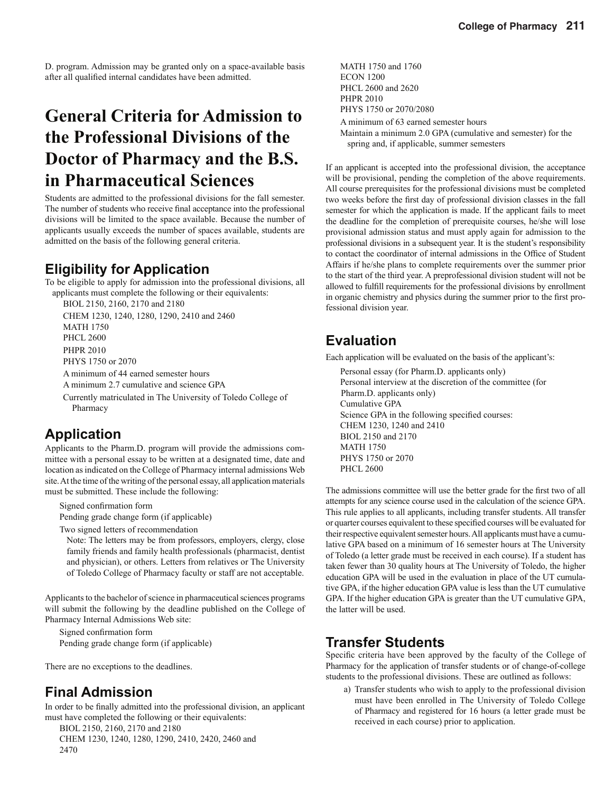D. program. Admission may be granted only on a space-available basis after all qualified internal candidates have been admitted.

# **General Criteria for Admission to the Professional Divisions of the Doctor of Pharmacy and the B.S. in Pharmaceutical Sciences**

Students are admitted to the professional divisions for the fall semester. The number of students who receive final acceptance into the professional divisions will be limited to the space available. Because the number of applicants usually exceeds the number of spaces available, students are admitted on the basis of the following general criteria.

# **Eligibility for Application**

To be eligible to apply for admission into the professional divisions, all applicants must complete the following or their equivalents:

BIOL 2150, 2160, 2170 and 2180

CHEM 1230, 1240, 1280, 1290, 2410 and 2460 MATH 1750 PHCL 2600 PHPR 2010 PHYS 1750 or 2070 A minimum of 44 earned semester hours A minimum 2.7 cumulative and science GPA Currently matriculated in The University of Toledo College of

Pharmacy

# **Application**

Applicants to the Pharm.D. program will provide the admissions committee with a personal essay to be written at a designated time, date and location as indicated on the College of Pharmacy internal admissions Web site. At the time of the writing of the personal essay, all application materials must be submitted. These include the following:

Signed confirmation form Pending grade change form (if applicable)

Two signed letters of recommendation

Note: The letters may be from professors, employers, clergy, close family friends and family health professionals (pharmacist, dentist and physician), or others. Letters from relatives or The University of Toledo College of Pharmacy faculty or staff are not acceptable.

Applicants to the bachelor of science in pharmaceutical sciences programs will submit the following by the deadline published on the College of Pharmacy Internal Admissions Web site:

Signed confirmation form Pending grade change form (if applicable)

There are no exceptions to the deadlines.

## **Final Admission**

In order to be finally admitted into the professional division, an applicant must have completed the following or their equivalents:

BIOL 2150, 2160, 2170 and 2180 CHEM 1230, 1240, 1280, 1290, 2410, 2420, 2460 and 2470

MATH 1750 and 1760 ECON 1200 PHCL 2600 and 2620 PHPR 2010 PHYS 1750 or 2070/2080 A minimum of 63 earned semester hours

Maintain a minimum 2.0 GPA (cumulative and semester) for the spring and, if applicable, summer semesters

If an applicant is accepted into the professional division, the acceptance will be provisional, pending the completion of the above requirements. All course prerequisites for the professional divisions must be completed two weeks before the first day of professional division classes in the fall semester for which the application is made. If the applicant fails to meet the deadline for the completion of prerequisite courses, he/she will lose provisional admission status and must apply again for admission to the professional divisions in a subsequent year. It is the student's responsibility to contact the coordinator of internal admissions in the Office of Student Affairs if he/she plans to complete requirements over the summer prior to the start of the third year. A preprofessional division student will not be allowed to fulfill requirements for the professional divisions by enrollment in organic chemistry and physics during the summer prior to the first professional division year.

# **Evaluation**

Each application will be evaluated on the basis of the applicant's:

Personal essay (for Pharm.D. applicants only) Personal interview at the discretion of the committee (for Pharm.D. applicants only) Cumulative GPA Science GPA in the following specified courses: CHEM 1230, 1240 and 2410 BIOL 2150 and 2170 MATH 1750 PHYS 1750 or 2070 PHCL 2600

The admissions committee will use the better grade for the first two of all attempts for any science course used in the calculation of the science GPA. This rule applies to all applicants, including transfer students. All transfer or quarter courses equivalent to these specified courses will be evaluated for their respective equivalent semester hours. All applicants must have a cumulative GPA based on a minimum of 16 semester hours at The University of Toledo (a letter grade must be received in each course). If a student has taken fewer than 30 quality hours at The University of Toledo, the higher education GPA will be used in the evaluation in place of the UT cumulative GPA, if the higher education GPA value is less than the UT cumulative GPA. If the higher education GPA is greater than the UT cumulative GPA, the latter will be used.

## **Transfer Students**

Specific criteria have been approved by the faculty of the College of Pharmacy for the application of transfer students or of change-of-college students to the professional divisions. These are outlined as follows:

a) Transfer students who wish to apply to the professional division must have been enrolled in The University of Toledo College of Pharmacy and registered for 16 hours (a letter grade must be received in each course) prior to application.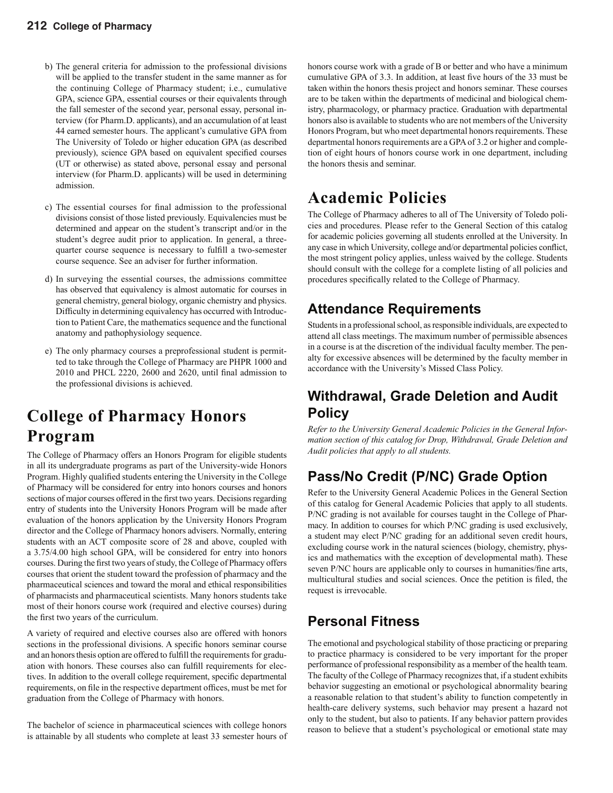## **212 College of Pharmacy**

- b) The general criteria for admission to the professional divisions will be applied to the transfer student in the same manner as for the continuing College of Pharmacy student; i.e., cumulative GPA, science GPA, essential courses or their equivalents through the fall semester of the second year, personal essay, personal interview (for Pharm.D. applicants), and an accumulation of at least 44 earned semester hours. The applicant's cumulative GPA from The University of Toledo or higher education GPA (as described previously), science GPA based on equivalent specified courses (UT or otherwise) as stated above, personal essay and personal interview (for Pharm.D. applicants) will be used in determining admission.
- c) The essential courses for final admission to the professional divisions consist of those listed previously. Equivalencies must be determined and appear on the student's transcript and/or in the student's degree audit prior to application. In general, a threequarter course sequence is necessary to fulfill a two-semester course sequence. See an adviser for further information.
- d) In surveying the essential courses, the admissions committee has observed that equivalency is almost automatic for courses in general chemistry, general biology, organic chemistry and physics. Difficulty in determining equivalency has occurred with Introduction to Patient Care, the mathematics sequence and the functional anatomy and pathophysiology sequence.
- e) The only pharmacy courses a preprofessional student is permitted to take through the College of Pharmacy are PHPR 1000 and  $2010$  and PHCL  $2220$ ,  $2600$  and  $2620$ , until final admission to the professional divisions is achieved.

# **College of Pharmacy Honors Program**

The College of Pharmacy offers an Honors Program for eligible students in all its undergraduate programs as part of the University-wide Honors Program. Highly qualified students entering the University in the College of Pharmacy will be considered for entry into honors courses and honors sections of major courses offered in the first two years. Decisions regarding entry of students into the University Honors Program will be made after evaluation of the honors application by the University Honors Program director and the College of Pharmacy honors advisers. Normally, entering students with an ACT composite score of 28 and above, coupled with a 3.75/4.00 high school GPA, will be considered for entry into honors courses. During the first two years of study, the College of Pharmacy offers courses that orient the student toward the profession of pharmacy and the pharmaceutical sciences and toward the moral and ethical responsibilities of pharmacists and pharmaceutical scientists. Many honors students take most of their honors course work (required and elective courses) during the first two years of the curriculum.

A variety of required and elective courses also are offered with honors sections in the professional divisions. A specific honors seminar course and an honors thesis option are offered to fulfill the requirements for graduation with honors. These courses also can fulfill requirements for electives. In addition to the overall college requirement, specific departmental requirements, on file in the respective department offices, must be met for graduation from the College of Pharmacy with honors.

The bachelor of science in pharmaceutical sciences with college honors is attainable by all students who complete at least 33 semester hours of honors course work with a grade of B or better and who have a minimum cumulative GPA of 3.3. In addition, at least five hours of the 33 must be taken within the honors thesis project and honors seminar. These courses are to be taken within the departments of medicinal and biological chemistry, pharmacology, or pharmacy practice. Graduation with departmental honors also is available to students who are not members of the University Honors Program, but who meet departmental honors requirements. These departmental honors requirements are a GPA of 3.2 or higher and completion of eight hours of honors course work in one department, including the honors thesis and seminar.

# **Academic Policies**

The College of Pharmacy adheres to all of The University of Toledo policies and procedures. Please refer to the General Section of this catalog for academic policies governing all students enrolled at the University. In any case in which University, college and/or departmental policies conflict, the most stringent policy applies, unless waived by the college. Students should consult with the college for a complete listing of all policies and procedures specifically related to the College of Pharmacy.

# **Attendance Requirements**

Students in a professional school, as responsible individuals, are expected to attend all class meetings. The maximum number of permissible absences in a course is at the discretion of the individual faculty member. The penalty for excessive absences will be determined by the faculty member in accordance with the University's Missed Class Policy.

# **Withdrawal, Grade Deletion and Audit Policy**

*Refer to the University General Academic Policies in the General Information section of this catalog for Drop, Withdrawal, Grade Deletion and Audit policies that apply to all students.*

# **Pass/No Credit (P/NC) Grade Option**

Refer to the University General Academic Polices in the General Section of this catalog for General Academic Policies that apply to all students. P/NC grading is not available for courses taught in the College of Pharmacy. In addition to courses for which P/NC grading is used exclusively, a student may elect P/NC grading for an additional seven credit hours, excluding course work in the natural sciences (biology, chemistry, physics and mathematics with the exception of developmental math). These seven P/NC hours are applicable only to courses in humanities/fine arts, multicultural studies and social sciences. Once the petition is filed, the request is irrevocable.

# **Personal Fitness**

The emotional and psychological stability of those practicing or preparing to practice pharmacy is considered to be very important for the proper performance of professional responsibility as a member of the health team. The faculty of the College of Pharmacy recognizes that, if a student exhibits behavior suggesting an emotional or psychological abnormality bearing a reasonable relation to that student's ability to function competently in health-care delivery systems, such behavior may present a hazard not only to the student, but also to patients. If any behavior pattern provides reason to believe that a student's psychological or emotional state may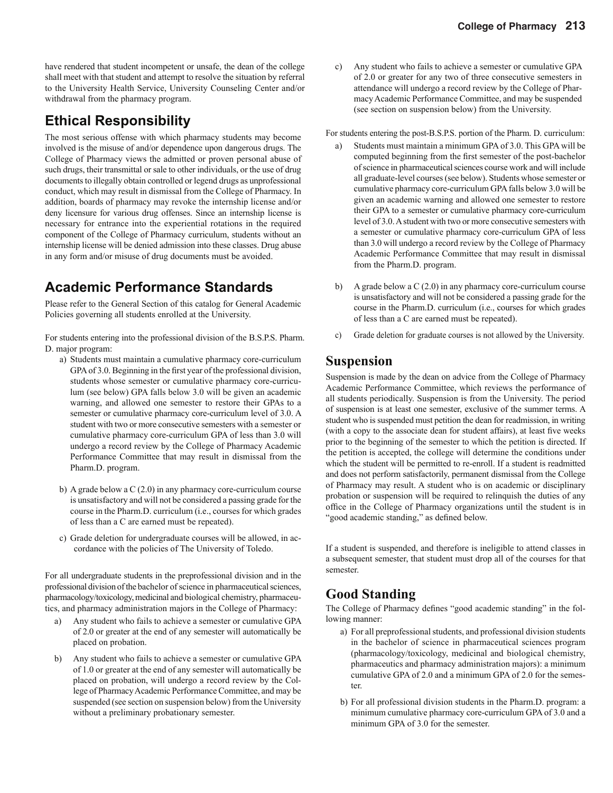have rendered that student incompetent or unsafe, the dean of the college shall meet with that student and attempt to resolve the situation by referral to the University Health Service, University Counseling Center and/or withdrawal from the pharmacy program.

## **Ethical Responsibility**

The most serious offense with which pharmacy students may become involved is the misuse of and/or dependence upon dangerous drugs. The College of Pharmacy views the admitted or proven personal abuse of such drugs, their transmittal or sale to other individuals, or the use of drug documents to illegally obtain controlled or legend drugs as unprofessional conduct, which may result in dismissal from the College of Pharmacy. In addition, boards of pharmacy may revoke the internship license and/or deny licensure for various drug offenses. Since an internship license is necessary for entrance into the experiential rotations in the required component of the College of Pharmacy curriculum, students without an internship license will be denied admission into these classes. Drug abuse in any form and/or misuse of drug documents must be avoided.

# **Academic Performance Standards**

Please refer to the General Section of this catalog for General Academic Policies governing all students enrolled at the University.

For students entering into the professional division of the B.S.P.S. Pharm. D. major program:

- a) Students must maintain a cumulative pharmacy core-curriculum GPA of 3.0. Beginning in the first year of the professional division, students whose semester or cumulative pharmacy core-curriculum (see below) GPA falls below 3.0 will be given an academic warning, and allowed one semester to restore their GPAs to a semester or cumulative pharmacy core-curriculum level of 3.0. A student with two or more consecutive semesters with a semester or cumulative pharmacy core-curriculum GPA of less than 3.0 will undergo a record review by the College of Pharmacy Academic Performance Committee that may result in dismissal from the Pharm.D. program.
- b) A grade below a C (2.0) in any pharmacy core-curriculum course is unsatisfactory and will not be considered a passing grade for the course in the Pharm.D. curriculum (i.e., courses for which grades of less than a C are earned must be repeated).
- c) Grade deletion for undergraduate courses will be allowed, in accordance with the policies of The University of Toledo.

For all undergraduate students in the preprofessional division and in the professional division of the bachelor of science in pharmaceutical sciences, pharmacology/toxicology, medicinal and biological chemistry, pharmaceutics, and pharmacy administration majors in the College of Pharmacy:

- a) Any student who fails to achieve a semester or cumulative GPA of 2.0 or greater at the end of any semester will automatically be placed on probation.
- b) Any student who fails to achieve a semester or cumulative GPA of 1.0 or greater at the end of any semester will automatically be placed on probation, will undergo a record review by the College of Pharmacy Academic Performance Committee, and may be suspended (see section on suspension below) from the University without a preliminary probationary semester.

c) Any student who fails to achieve a semester or cumulative GPA of 2.0 or greater for any two of three consecutive semesters in attendance will undergo a record review by the College of Pharmacy Academic Performance Committee, and may be suspended (see section on suspension below) from the University.

For students entering the post-B.S.P.S. portion of the Pharm. D. curriculum:

- a) Students must maintain a minimum GPA of 3.0. This GPA will be computed beginning from the first semester of the post-bachelor of science in pharmaceutical sciences course work and will include all graduate-level courses (see below). Students whose semester or cumulative pharmacy core-curriculum GPA falls below 3.0 will be given an academic warning and allowed one semester to restore their GPA to a semester or cumulative pharmacy core-curriculum level of 3.0. A student with two or more consecutive semesters with a semester or cumulative pharmacy core-curriculum GPA of less than 3.0 will undergo a record review by the College of Pharmacy Academic Performance Committee that may result in dismissal from the Pharm.D. program.
- b) A grade below a C (2.0) in any pharmacy core-curriculum course is unsatisfactory and will not be considered a passing grade for the course in the Pharm.D. curriculum (i.e., courses for which grades of less than a C are earned must be repeated).
- c) Grade deletion for graduate courses is not allowed by the University.

## **Suspension**

Suspension is made by the dean on advice from the College of Pharmacy Academic Performance Committee, which reviews the performance of all students periodically. Suspension is from the University. The period of suspension is at least one semester, exclusive of the summer terms. A student who is suspended must petition the dean for readmission, in writing (with a copy to the associate dean for student affairs), at least five weeks prior to the beginning of the semester to which the petition is directed. If the petition is accepted, the college will determine the conditions under which the student will be permitted to re-enroll. If a student is readmitted and does not perform satisfactorily, permanent dismissal from the College of Pharmacy may result. A student who is on academic or disciplinary probation or suspension will be required to relinquish the duties of any office in the College of Pharmacy organizations until the student is in "good academic standing," as defined below.

If a student is suspended, and therefore is ineligible to attend classes in a subsequent semester, that student must drop all of the courses for that semester.

# **Good Standing**

The College of Pharmacy defines "good academic standing" in the following manner:

- a) For all preprofessional students, and professional division students in the bachelor of science in pharmaceutical sciences program (pharmacology/toxicology, medicinal and biological chemistry, pharmaceutics and pharmacy administration majors): a minimum cumulative GPA of 2.0 and a minimum GPA of 2.0 for the semester.
- b) For all professional division students in the Pharm.D. program: a minimum cumulative pharmacy core-curriculum GPA of 3.0 and a minimum GPA of 3.0 for the semester.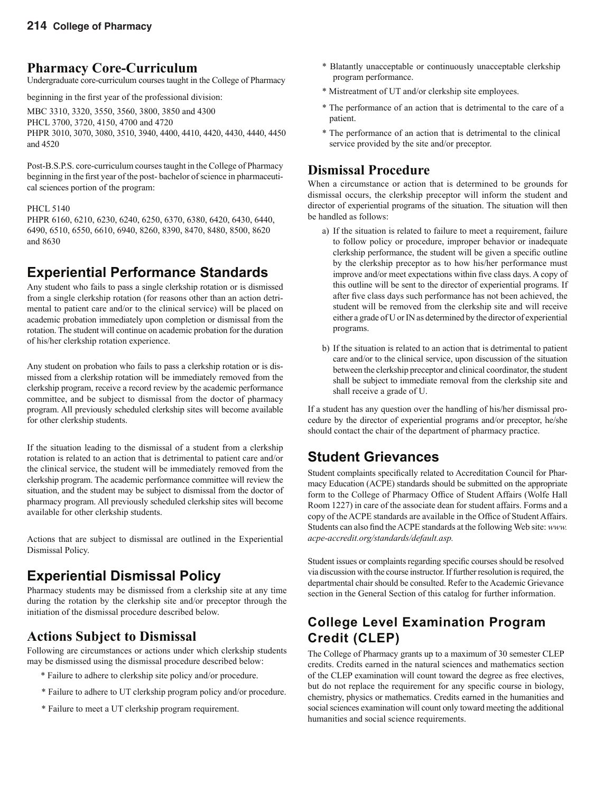## **Pharmacy Core-Curriculum**

Undergraduate core-curriculum courses taught in the College of Pharmacy

beginning in the first year of the professional division:

MBC 3310, 3320, 3550, 3560, 3800, 3850 and 4300 PHCL 3700, 3720, 4150, 4700 and 4720 PHPR 3010, 3070, 3080, 3510, 3940, 4400, 4410, 4420, 4430, 4440, 4450 and 4520

Post-B.S.P.S. core-curriculum courses taught in the College of Pharmacy beginning in the first year of the post- bachelor of science in pharmaceutical sciences portion of the program:

## PHCL 5140

PHPR 6160, 6210, 6230, 6240, 6250, 6370, 6380, 6420, 6430, 6440, 6490, 6510, 6550, 6610, 6940, 8260, 8390, 8470, 8480, 8500, 8620 and 8630

# **Experiential Performance Standards**

Any student who fails to pass a single clerkship rotation or is dismissed from a single clerkship rotation (for reasons other than an action detrimental to patient care and/or to the clinical service) will be placed on academic probation immediately upon completion or dismissal from the rotation. The student will continue on academic probation for the duration of his/her clerkship rotation experience.

Any student on probation who fails to pass a clerkship rotation or is dismissed from a clerkship rotation will be immediately removed from the clerkship program, receive a record review by the academic performance committee, and be subject to dismissal from the doctor of pharmacy program. All previously scheduled clerkship sites will become available for other clerkship students.

If the situation leading to the dismissal of a student from a clerkship rotation is related to an action that is detrimental to patient care and/or the clinical service, the student will be immediately removed from the clerkship program. The academic performance committee will review the situation, and the student may be subject to dismissal from the doctor of pharmacy program. All previously scheduled clerkship sites will become available for other clerkship students.

Actions that are subject to dismissal are outlined in the Experiential Dismissal Policy.

# **Experiential Dismissal Policy**

Pharmacy students may be dismissed from a clerkship site at any time during the rotation by the clerkship site and/or preceptor through the initiation of the dismissal procedure described below.

# **Actions Subject to Dismissal**

Following are circumstances or actions under which clerkship students may be dismissed using the dismissal procedure described below:

- \* Failure to adhere to clerkship site policy and/or procedure.
- \* Failure to adhere to UT clerkship program policy and/or procedure.
- \* Failure to meet a UT clerkship program requirement.
- \* Blatantly unacceptable or continuously unacceptable clerkship program performance.
- \* Mistreatment of UT and/or clerkship site employees.
- \* The performance of an action that is detrimental to the care of a patient.
- \* The performance of an action that is detrimental to the clinical service provided by the site and/or preceptor.

# **Dismissal Procedure**

When a circumstance or action that is determined to be grounds for dismissal occurs, the clerkship preceptor will inform the student and director of experiential programs of the situation. The situation will then be handled as follows:

- a) If the situation is related to failure to meet a requirement, failure to follow policy or procedure, improper behavior or inadequate clerkship performance, the student will be given a specific outline by the clerkship preceptor as to how his/her performance must improve and/or meet expectations within five class days. A copy of this outline will be sent to the director of experiential programs. If after five class days such performance has not been achieved, the student will be removed from the clerkship site and will receive either a grade of U or IN as determined by the director of experiential programs.
- b) If the situation is related to an action that is detrimental to patient care and/or to the clinical service, upon discussion of the situation between the clerkship preceptor and clinical coordinator, the student shall be subject to immediate removal from the clerkship site and shall receive a grade of U.

If a student has any question over the handling of his/her dismissal procedure by the director of experiential programs and/or preceptor, he/she should contact the chair of the department of pharmacy practice.

# **Student Grievances**

Student complaints specifically related to Accreditation Council for Pharmacy Education (ACPE) standards should be submitted on the appropriate form to the College of Pharmacy Office of Student Affairs (Wolfe Hall Room 1227) in care of the associate dean for student affairs. Forms and a copy of the ACPE standards are available in the Office of Student Affairs. Students can also find the ACPE standards at the following Web site: www. *acpe-accredit.org/standards/default.asp.*

Student issues or complaints regarding specific courses should be resolved via discussion with the course instructor. If further resolution is required, the departmental chair should be consulted. Refer to the Academic Grievance section in the General Section of this catalog for further information.

# **College Level Examination Program Credit (CLEP)**

The College of Pharmacy grants up to a maximum of 30 semester CLEP credits. Credits earned in the natural sciences and mathematics section of the CLEP examination will count toward the degree as free electives, but do not replace the requirement for any specific course in biology, chemistry, physics or mathematics. Credits earned in the humanities and social sciences examination will count only toward meeting the additional humanities and social science requirements.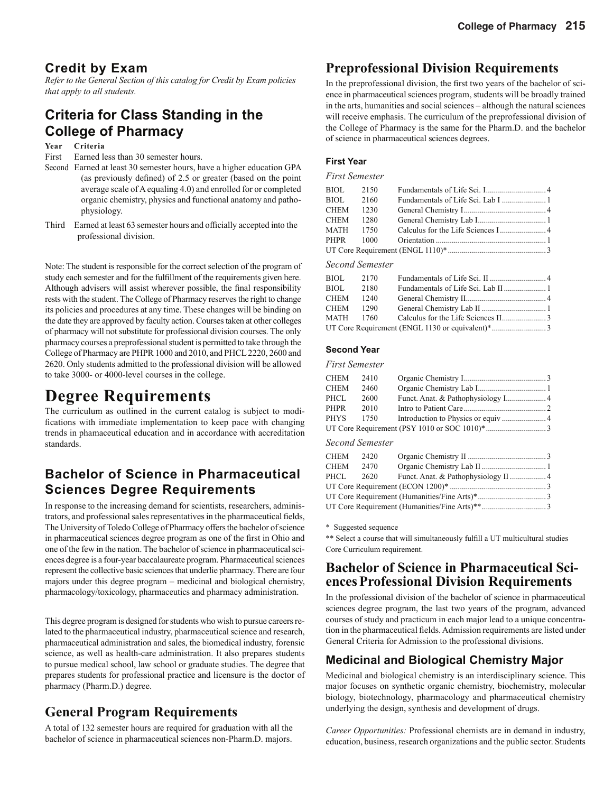## **Credit by Exam**

*Refer to the General Section of this catalog for Credit by Exam policies that apply to all students.*

# **Criteria for Class Standing in the College of Pharmacy**

#### **Year Criteria**

First Earned less than 30 semester hours.

- Second Earned at least 30 semester hours, have a higher education GPA (as previously defined) of  $2.5$  or greater (based on the point average scale of A equaling 4.0) and enrolled for or completed organic chemistry, physics and functional anatomy and pathophysiology.
- Third Earned at least 63 semester hours and officially accepted into the professional division.

Note: The student is responsible for the correct selection of the program of study each semester and for the fulfillment of the requirements given here. Although advisers will assist wherever possible, the final responsibility rests with the student. The College of Pharmacy reserves the right to change its policies and procedures at any time. These changes will be binding on the date they are approved by faculty action. Courses taken at other colleges of pharmacy will not substitute for professional division courses. The only pharmacy courses a preprofessional student is permitted to take through the College of Pharmacy are PHPR 1000 and 2010, and PHCL 2220, 2600 and 2620. Only students admitted to the professional division will be allowed to take 3000- or 4000-level courses in the college.

# **Degree Requirements**

The curriculum as outlined in the current catalog is subject to modifications with immediate implementation to keep pace with changing trends in phamaceutical education and in accordance with accreditation standards.

## **Bachelor of Science in Pharmaceutical Sciences Degree Requirements**

In response to the increasing demand for scientists, researchers, administrators, and professional sales representatives in the pharmaceutical fields, The University of Toledo College of Pharmacy offers the bachelor of science in pharmaceutical sciences degree program as one of the first in Ohio and one of the few in the nation. The bachelor of science in pharmaceutical sciences degree is a four-year baccalaureate program. Pharmaceutical sciences represent the collective basic sciences that underlie pharmacy. There are four majors under this degree program – medicinal and biological chemistry, pharmacology/toxicology, pharmaceutics and pharmacy administration.

This degree program is designed for students who wish to pursue careers related to the pharmaceutical industry, pharmaceutical science and research, pharmaceutical administration and sales, the biomedical industry, forensic science, as well as health-care administration. It also prepares students to pursue medical school, law school or graduate studies. The degree that prepares students for professional practice and licensure is the doctor of pharmacy (Pharm.D.) degree.

## **General Program Requirements**

A total of 132 semester hours are required for graduation with all the bachelor of science in pharmaceutical sciences non-Pharm.D. majors.

## **Preprofessional Division Requirements**

In the preprofessional division, the first two years of the bachelor of science in pharmaceutical sciences program, students will be broadly trained in the arts, humanities and social sciences – although the natural sciences will receive emphasis. The curriculum of the preprofessional division of the College of Pharmacy is the same for the Pharm.D. and the bachelor of science in pharmaceutical sciences degrees.

## **First Year**

*First Semester*

| BIOL      | 2150            |  |
|-----------|-----------------|--|
| BIOL      | 2160            |  |
| CHEM      | 1230            |  |
| CHEM      | 1280            |  |
| MATH 1750 |                 |  |
|           |                 |  |
|           |                 |  |
|           | Sacond Samastar |  |

#### *Second Semester*

| BIOL      | 2170 |                                                 |  |
|-----------|------|-------------------------------------------------|--|
| BIOL      | 2180 |                                                 |  |
| CHEM 1240 |      |                                                 |  |
| CHEM 1290 |      |                                                 |  |
|           |      |                                                 |  |
|           |      |                                                 |  |
|           |      | UT Core Requirement (ENGL 1130 or equivalent)*3 |  |

### **Second Year**

#### *First Semester*

| CHEM        | 2410 |  |
|-------------|------|--|
| <b>CHEM</b> | 2460 |  |
| PHCL        | 2600 |  |
| PHPR        | 2010 |  |
| PHYS        | 1750 |  |
|             |      |  |

#### *Second Semester*

| CHEM | 2420 |  |
|------|------|--|
| CHEM | 2470 |  |
| PHCL |      |  |
|      |      |  |
|      |      |  |
|      |      |  |
|      |      |  |

\* Suggested sequence

\*\* Select a course that will simultaneously fulfill a UT multicultural studies Core Curriculum requirement.

## **Bachelor of Science in Pharmaceutical SciencesProfessional Division Requirements**

In the professional division of the bachelor of science in pharmaceutical sciences degree program, the last two years of the program, advanced courses of study and practicum in each major lead to a unique concentration in the pharmaceutical fields. Admission requirements are listed under General Criteria for Admission to the professional divisions.

## **Medicinal and Biological Chemistry Major**

Medicinal and biological chemistry is an interdisciplinary science. This major focuses on synthetic organic chemistry, biochemistry, molecular biology, biotechnology, pharmacology and pharmaceutical chemistry underlying the design, synthesis and development of drugs.

*Career Opportunities:* Professional chemists are in demand in industry, education, business, research organizations and the public sector. Students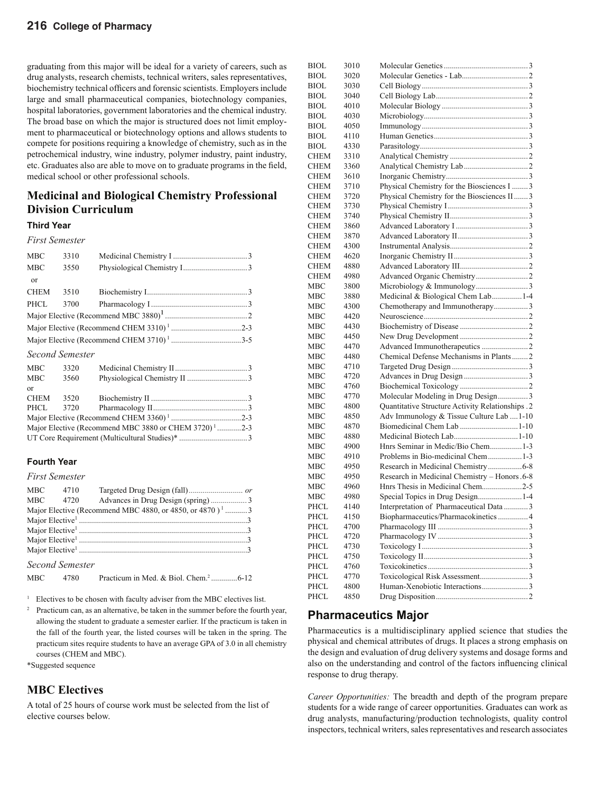## **216 College of Pharmacy**

graduating from this major will be ideal for a variety of careers, such as drug analysts, research chemists, technical writers, sales representatives, biochemistry technical officers and forensic scientists. Employers include large and small pharmaceutical companies, biotechnology companies, hospital laboratories, government laboratories and the chemical industry. The broad base on which the major is structured does not limit employment to pharmaceutical or biotechnology options and allows students to compete for positions requiring a knowledge of chemistry, such as in the petrochemical industry, wine industry, polymer industry, paint industry, etc. Graduates also are able to move on to graduate programs in the field, medical school or other professional schools.

## **Medicinal and Biological Chemistry Professional Division Curriculum**

## **Third Year**

#### *First Semester*

| <b>MBC</b>  | 3310                   |                                                                   |
|-------------|------------------------|-------------------------------------------------------------------|
| <b>MBC</b>  | 3550                   |                                                                   |
| or          |                        |                                                                   |
| <b>CHEM</b> | 3510                   |                                                                   |
| PHCL        | 3700                   |                                                                   |
|             |                        |                                                                   |
|             |                        |                                                                   |
|             |                        |                                                                   |
|             | <b>Second Semester</b> |                                                                   |
| MBC         | 3320                   |                                                                   |
| MBC .       | 3560                   |                                                                   |
| $\alpha$ r  |                        |                                                                   |
| <b>CHEM</b> | 3520                   |                                                                   |
| PHCL        | 3720                   |                                                                   |
|             |                        |                                                                   |
|             |                        | Major Elective (Recommend MBC 3880 or CHEM 3720) <sup>1</sup> 2-3 |

### **Fourth Year**

### *First Semester*

| MBC        | 4710 |                                                                      |  |
|------------|------|----------------------------------------------------------------------|--|
| <b>MBC</b> | 4720 |                                                                      |  |
|            |      | Major Elective (Recommend MBC 4880, or 4850, or 4870) <sup>1</sup> 3 |  |
|            |      |                                                                      |  |
|            |      |                                                                      |  |
|            |      |                                                                      |  |
|            |      |                                                                      |  |

UT Core Requirement (Multicultural Studies)\* .................................. 3

*Second Semester*

| <b>MBC</b><br>4780 |  |
|--------------------|--|
|--------------------|--|

1 Electives to be chosen with faculty adviser from the MBC electives list.

<sup>2</sup> Practicum can, as an alternative, be taken in the summer before the fourth year, allowing the student to graduate a semester earlier. If the practicum is taken in the fall of the fourth year, the listed courses will be taken in the spring. The practicum sites require students to have an average GPA of 3.0 in all chemistry courses (CHEM and MBC).

\*Suggested sequence

## **MBC Electives**

A total of 25 hours of course work must be selected from the list of elective courses below.

| BIOL        | 3010 |                                                  |  |
|-------------|------|--------------------------------------------------|--|
| BIOL        | 3020 |                                                  |  |
| BIOL        | 3030 |                                                  |  |
| BIOL        | 3040 |                                                  |  |
| BIOL        | 4010 |                                                  |  |
| BIOL        | 4030 |                                                  |  |
| BIOL        | 4050 |                                                  |  |
| BIOL        | 4110 |                                                  |  |
| BIOL        | 4330 |                                                  |  |
| CHEM        | 3310 |                                                  |  |
| CHEM        | 3360 |                                                  |  |
| CHEM        | 3610 |                                                  |  |
| CHEM        | 3710 | Physical Chemistry for the Biosciences I  3      |  |
| <b>CHEM</b> | 3720 | Physical Chemistry for the Biosciences II3       |  |
| CHEM        | 3730 |                                                  |  |
| CHEM        | 3740 |                                                  |  |
| CHEM        | 3860 |                                                  |  |
| CHEM        | 3870 |                                                  |  |
| CHEM        | 4300 |                                                  |  |
| CHEM        | 4620 |                                                  |  |
| <b>CHEM</b> | 4880 |                                                  |  |
| CHEM        | 4980 |                                                  |  |
| MBC         | 3800 |                                                  |  |
| МВС         | 3880 | Medicinal & Biological Chem Lab1-4               |  |
| МВС         | 4300 | Chemotherapy and Immunotherapy3                  |  |
| МВС         | 4420 |                                                  |  |
| МВС         | 4430 |                                                  |  |
| МВС         | 4450 |                                                  |  |
| МВС         | 4470 |                                                  |  |
| МВС         | 4480 | Chemical Defense Mechanisms in Plants2           |  |
| МВС         | 4710 |                                                  |  |
| МВС         | 4720 |                                                  |  |
| MBC         | 4760 |                                                  |  |
| МВС         | 4770 | Molecular Modeling in Drug Design3               |  |
| МВС         | 4800 | Quantitative Structure Activity Relationships .2 |  |
| МВС         | 4850 | Adv Immunology & Tissue Culture Lab 1-10         |  |
| МВС         | 4870 | Biomedicinal Chem Lab 1-10                       |  |
| МВС         | 4880 |                                                  |  |
| MBC         | 4900 | Hnrs Seminar in Medic/Bio Chem1-3                |  |
| МВС         | 4910 |                                                  |  |
| МВС         | 4950 | Research in Medicinal Chemistry6-8               |  |
| МВС         | 4950 | Research in Medicinal Chemistry - Honors .6-8    |  |
| MBC         | 4960 | Hnrs Thesis in Medicinal Chem2-5                 |  |
| МВС         | 4980 | Special Topics in Drug Design1-4                 |  |
| PHCL        | 4140 | Interpretation of Pharmaceutical Data  3         |  |
| PHCL        | 4150 | Biopharmaceutics/Pharmacokinetics  4             |  |
| PHCL        | 4700 |                                                  |  |
| PHCL        | 4720 |                                                  |  |
| PHCL        | 4730 |                                                  |  |
| PHCL        | 4750 |                                                  |  |
| PHCL        | 4760 |                                                  |  |
| PHCL        | 4770 |                                                  |  |
| PHCL        | 4800 |                                                  |  |
| PHCL        | 4850 |                                                  |  |
|             |      |                                                  |  |

## **Pharmaceutics Major**

Pharmaceutics is a multidisciplinary applied science that studies the physical and chemical attributes of drugs. It places a strong emphasis on the design and evaluation of drug delivery systems and dosage forms and also on the understanding and control of the factors influencing clinical response to drug therapy.

*Career Opportunities:* The breadth and depth of the program prepare students for a wide range of career opportunities. Graduates can work as drug analysts, manufacturing/production technologists, quality control inspectors, technical writers, sales representatives and research associates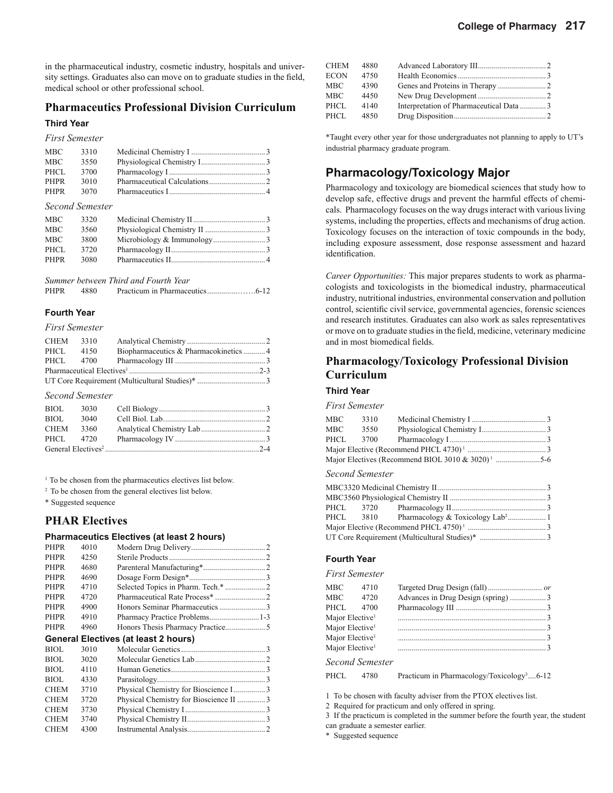in the pharmaceutical industry, cosmetic industry, hospitals and university settings. Graduates also can move on to graduate studies in the field, medical school or other professional school.

## **Pharmaceutics Professional Division Curriculum**

## **Third Year**

*First Semester*

| <b>MBC</b>  | 3310 |  |
|-------------|------|--|
| <b>MBC</b>  | 3550 |  |
| PHCL        | 3700 |  |
| <b>PHPR</b> | 3010 |  |
| PHPR        | 3070 |  |

*Second Semester*

| <b>MBC</b> | 3320 |  |
|------------|------|--|
| <b>MBC</b> | 3560 |  |
| <b>MBC</b> | 3800 |  |
| PHCL       | 3720 |  |
| PHPR       | 3080 |  |
|            |      |  |

*Summer between Third and Fourth Year*

PHPR 4880 Practicum in Pharmaceutics ...............…….6-12

### **Fourth Year**

*First Semester*

| CHEM 3310 |      |                                        |  |
|-----------|------|----------------------------------------|--|
| PHCL      | 4150 | Biopharmaceutics & Pharmacokinetics  4 |  |
|           |      |                                        |  |
|           |      |                                        |  |
|           |      |                                        |  |

### *Second Semester*

| <b>BIOL</b> | 3030 |  |
|-------------|------|--|
| BIOL        | 3040 |  |
| CHEM        | 3360 |  |
| PHCL 4720   |      |  |
|             |      |  |

<sup>1</sup> To be chosen from the pharmaceutics electives list below.

2 To be chosen from the general electives list below.

\* Suggested sequence

## **PHAR Electives**

## **Pharmaceutics Electives (at least 2 hours)**

|             |      | $\frac{1}{2}$ narmaccunos Electrics (at Icast 2 nours) |  |
|-------------|------|--------------------------------------------------------|--|
| <b>PHPR</b> | 4010 |                                                        |  |
| <b>PHPR</b> | 4250 |                                                        |  |
| <b>PHPR</b> | 4680 |                                                        |  |
| <b>PHPR</b> | 4690 |                                                        |  |
| <b>PHPR</b> | 4710 | Selected Topics in Pharm. Tech.* 2                     |  |
| <b>PHPR</b> | 4720 |                                                        |  |
| <b>PHPR</b> | 4900 |                                                        |  |
| <b>PHPR</b> | 4910 | Pharmacy Practice Problems1-3                          |  |
| <b>PHPR</b> | 4960 |                                                        |  |
|             |      | General Electives (at least 2 hours)                   |  |
| BIOL        | 3010 |                                                        |  |
| <b>BIOL</b> | 3020 |                                                        |  |
| <b>BIOL</b> | 4110 |                                                        |  |
| BIOL        | 4330 |                                                        |  |
| <b>CHEM</b> | 3710 | Physical Chemistry for Bioscience I3                   |  |
| <b>CHEM</b> | 3720 | Physical Chemistry for Bioscience II 3                 |  |
| <b>CHEM</b> | 3730 |                                                        |  |
| <b>CHEM</b> | 3740 |                                                        |  |
| <b>CHEM</b> | 4300 |                                                        |  |

| <b>CHEM</b> | 4880 |                                         |  |
|-------------|------|-----------------------------------------|--|
| ECON        | 4750 |                                         |  |
| MBC         | 4390 |                                         |  |
| MBC         | 4450 |                                         |  |
| PHCL        | 4140 | Interpretation of Pharmaceutical Data 3 |  |
| PHCL        | 4850 |                                         |  |
|             |      |                                         |  |

\*Taught every other year for those undergraduates not planning to apply to UT's industrial pharmacy graduate program.

## **Pharmacology/Toxicology Major**

Pharmacology and toxicology are biomedical sciences that study how to develop safe, effective drugs and prevent the harmful effects of chemicals. Pharmacology focuses on the way drugs interact with various living systems, including the properties, effects and mechanisms of drug action. Toxicology focuses on the interaction of toxic compounds in the body, including exposure assessment, dose response assessment and hazard identification.

*Career Opportunities:* This major prepares students to work as pharmacologists and toxicologists in the biomedical industry, pharmaceutical industry, nutritional industries, environmental conservation and pollution control, scientific civil service, governmental agencies, forensic sciences and research institutes. Graduates can also work as sales representatives or move on to graduate studies in the field, medicine, veterinary medicine and in most biomedical fields.

## **Pharmacology/Toxicology Professional Division Curriculum**

## **Third Year**

*First Semester*

| MBC  | 3310 |                                                                 |  |
|------|------|-----------------------------------------------------------------|--|
| MBC  | 3550 |                                                                 |  |
| PHCL | 3700 |                                                                 |  |
|      |      |                                                                 |  |
|      |      | Major Electives (Recommend BIOL 3010 $&$ 3020) <sup>1</sup> 5-6 |  |

#### *Second Semester*

## **Fourth Year**

#### *First Semester*

| MBC                         | 4710 |                                    |  |
|-----------------------------|------|------------------------------------|--|
| <b>MBC</b>                  | 4720 | Advances in Drug Design (spring) 3 |  |
| PHCL                        | 4700 |                                    |  |
| Major Elective <sup>1</sup> |      |                                    |  |
| Major Elective <sup>1</sup> |      |                                    |  |
| Major Elective <sup>1</sup> |      |                                    |  |
| Major Elective <sup>1</sup> |      |                                    |  |
|                             |      |                                    |  |

*Second Semester*

```
PHCL 4780 Practicum in Pharmacology/Toxicology<sup>3</sup>....6-12
```
1 To be chosen with faculty adviser from the PTOX electives list.

2 Required for practicum and only offered in spring.

3 If the practicum is completed in the summer before the fourth year, the student

can graduate a semester earlier.

\* Suggested sequence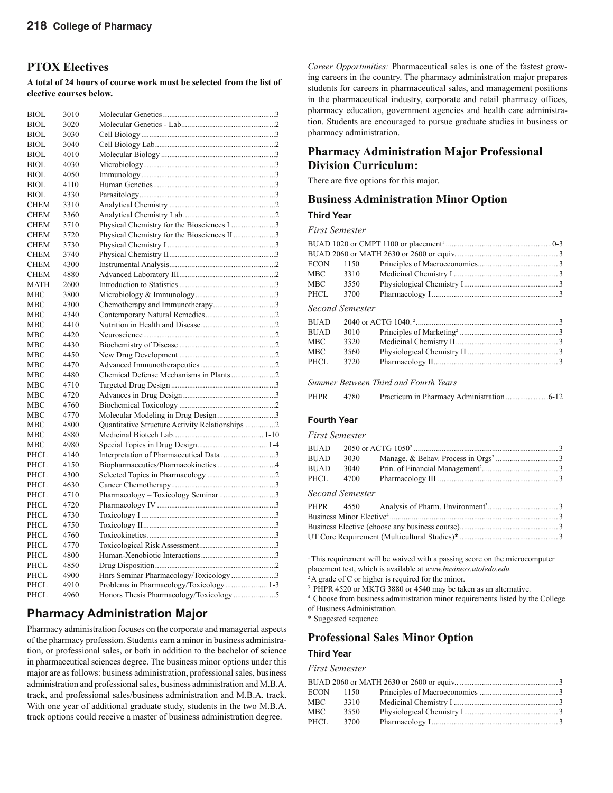## **PTOX Electives**

**A total of 24 hours of course work must be selected from the list of elective courses below.**

| <b>BIOL</b> | 3010 |                                                 |  |
|-------------|------|-------------------------------------------------|--|
| <b>BIOL</b> | 3020 |                                                 |  |
| BIOL.       | 3030 |                                                 |  |
| <b>BIOL</b> | 3040 |                                                 |  |
| BIOL        | 4010 |                                                 |  |
| <b>BIOL</b> | 4030 |                                                 |  |
| <b>BIOL</b> | 4050 |                                                 |  |
| BIOL        | 4110 |                                                 |  |
| <b>BIOL</b> | 4330 |                                                 |  |
| <b>CHEM</b> | 3310 |                                                 |  |
| <b>CHEM</b> | 3360 |                                                 |  |
| <b>CHEM</b> | 3710 | Physical Chemistry for the Biosciences I 3      |  |
| <b>CHEM</b> | 3720 | Physical Chemistry for the Biosciences II3      |  |
| <b>CHEM</b> | 3730 |                                                 |  |
| <b>CHEM</b> | 3740 |                                                 |  |
| <b>CHEM</b> | 4300 |                                                 |  |
| <b>CHEM</b> | 4880 |                                                 |  |
| MATH        | 2600 |                                                 |  |
| MBC         | 3800 |                                                 |  |
| MBC         | 4300 | Chemotherapy and Immunotherapy3                 |  |
| MBC         | 4340 |                                                 |  |
| MBC         | 4410 |                                                 |  |
| MBC         | 4420 |                                                 |  |
| <b>MBC</b>  | 4430 |                                                 |  |
| MBC         | 4450 |                                                 |  |
| MBC         | 4470 |                                                 |  |
| <b>MBC</b>  | 4480 | Chemical Defense Mechanisms in Plants2          |  |
| <b>MBC</b>  | 4710 |                                                 |  |
| MBC         | 4720 |                                                 |  |
| MBC         | 4760 |                                                 |  |
| <b>MBC</b>  | 4770 | Molecular Modeling in Drug Design3              |  |
| MBC         | 4800 | Quantitative Structure Activity Relationships 2 |  |
| <b>MBC</b>  | 4880 |                                                 |  |
| MBC         | 4980 |                                                 |  |
| PHCL        | 4140 | Interpretation of Pharmaceutical Data 3         |  |
| PHCL        | 4150 | Biopharmaceutics/Pharmacokinetics 4             |  |
| PHCL        | 4300 |                                                 |  |
| PHCL        | 4630 |                                                 |  |
| <b>PHCL</b> | 4710 | Pharmacology - Toxicology Seminar3              |  |
| PHCL        | 4720 |                                                 |  |
| PHCL        | 4730 |                                                 |  |
| PHCL        | 4750 |                                                 |  |
| PHCL        | 4760 |                                                 |  |
| PHCL        | 4770 |                                                 |  |
| <b>PHCL</b> | 4800 |                                                 |  |
| PHCL        | 4850 |                                                 |  |
| PHCL        | 4900 | Hnrs Seminar Pharmacology/Toxicology3           |  |
| <b>PHCL</b> | 4910 |                                                 |  |
| PHCL        | 4960 | Honors Thesis Pharmacology/Toxicology5          |  |
|             |      |                                                 |  |

## **Pharmacy Administration Major**

Pharmacy administration focuses on the corporate and managerial aspects of the pharmacy profession. Students earn a minor in business administration, or professional sales, or both in addition to the bachelor of science in pharmaceutical sciences degree. The business minor options under this major are as follows: business administration, professional sales, business administration and professional sales, business administration and M.B.A. track, and professional sales/business administration and M.B.A. track. With one year of additional graduate study, students in the two M.B.A. track options could receive a master of business administration degree.

*Career Opportunities:* Pharmaceutical sales is one of the fastest growing careers in the country. The pharmacy administration major prepares students for careers in pharmaceutical sales, and management positions in the pharmaceutical industry, corporate and retail pharmacy offices, pharmacy education, government agencies and health care administration. Students are encouraged to pursue graduate studies in business or pharmacy administration.

## **Pharmacy Administration Major Professional Division Curriculum:**

There are five options for this major.

## **Business Administration Minor Option**

## **Third Year**

#### *First Semester*

| <b>ECON</b> | 1150            |  |
|-------------|-----------------|--|
| <b>MBC</b>  | 3310            |  |
| <b>MBC</b>  | 3550            |  |
| PHCL        | 3700            |  |
|             |                 |  |
|             | Second Semester |  |
| <b>BUAD</b> |                 |  |
| <b>BUAD</b> | 3010            |  |
| <b>MBC</b>  | 3320            |  |
| <b>MBC</b>  | 3560            |  |
| PHCL        | 3720            |  |

*Summer Between Third and Fourth Years*

| PHPR | 4780 |  |  |  |
|------|------|--|--|--|
|------|------|--|--|--|

### **Fourth Year**

*First Semester*

| BUAD | 3030                              |  |
|------|-----------------------------------|--|
| BUAD | 3040                              |  |
|      | PHCL          4700                |  |
|      | $S_{\text{non}}$ $J_{\text{non}}$ |  |

#### *Second Semester*

<sup>1</sup> This requirement will be waived with a passing score on the microcomputer placement test, which is available at *www.business.utoledo.edu.*

<sup>2</sup>A grade of C or higher is required for the minor.

<sup>3</sup> PHPR 4520 or MKTG 3880 or 4540 may be taken as an alternative.

4 Choose from business administration minor requirements listed by the College of Business Administration.

\* Suggested sequence

## **Professional Sales Minor Option**

#### **Third Year**

*First Semester*

| ECON | 1150 |  |
|------|------|--|
| MBC  | 3310 |  |
| MBC  | 3550 |  |
| PHCL | 3700 |  |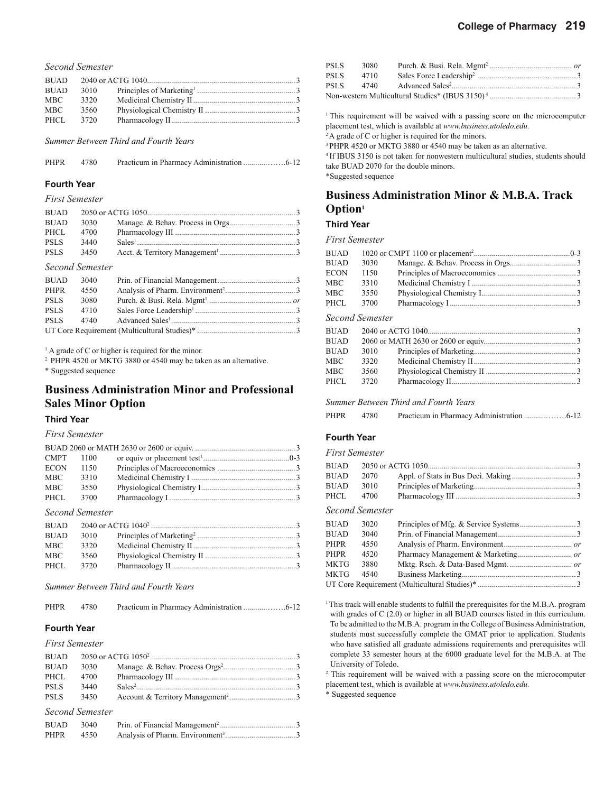|             | Second Semester |  |
|-------------|-----------------|--|
| <b>BUAD</b> |                 |  |
| BUAD        | 3010            |  |
| MBC         | 3320            |  |
| MBC         | 3560            |  |
| PHCL        | 3720            |  |

*Summer Between Third and Fourth Years*

| <b>PHPR</b> | 4780 |  |  |  |
|-------------|------|--|--|--|
|-------------|------|--|--|--|

#### **Fourth Year**

#### *First Semester*

| <b>BUAD</b> | 3030 |  |
|-------------|------|--|
| PHCL        | 4700 |  |
| <b>PSLS</b> | 3440 |  |
| <b>PSLS</b> | 3450 |  |
|             |      |  |

#### *Second Semester*

| <b>BUAD</b> | 3040 |  |
|-------------|------|--|
| PHPR        | 4550 |  |
| <b>PSLS</b> | 3080 |  |
| <b>PSLS</b> | 4710 |  |
| <b>PSLS</b> | 4740 |  |
|             |      |  |

<sup>1</sup> A grade of C or higher is required for the minor.

2 PHPR 4520 or MKTG 3880 or 4540 may be taken as an alternative.

\* Suggested sequence

## **Business Administration Minor and Professional Sales Minor Option**

### **Third Year**

#### *First Semester*

| <b>CMPT</b> | 1100 |  |
|-------------|------|--|
| <b>ECON</b> | 1150 |  |
| MBC         | 3310 |  |
| MBC         | 3550 |  |
| PHCL        | 3700 |  |

#### *Second Semester*

| <b>BUAD</b> |      |  |
|-------------|------|--|
| <b>BUAD</b> | 3010 |  |
| MBC.        | 3320 |  |
| MBC         | 3560 |  |
| PHCL        | 3720 |  |

#### *Summer Between Third and Fourth Years*

PHPR 4780 Practicum in Pharmacy Administration ............…….6-12

## **Fourth Year**

### *First Semester*

| <b>BUAD</b> | 3030            |  |
|-------------|-----------------|--|
| PHCL        | 4700            |  |
| <b>PSLS</b> | 3440            |  |
| <b>PSLS</b> | 3450            |  |
|             | Second Semester |  |

| BUAD | 3040 |  |
|------|------|--|
| PHPR | 4550 |  |

|  | PSLS 3080 |                                                                          |  |  |
|--|-----------|--------------------------------------------------------------------------|--|--|
|  | PSLS 4710 |                                                                          |  |  |
|  |           | PSLS 4740 Advanced Sales <sup>2</sup> (2008) Advanced Sales <sup>2</sup> |  |  |
|  |           |                                                                          |  |  |

<sup>1</sup> This requirement will be waived with a passing score on the microcomputer placement test, which is available at *www.business.utoledo.edu.*

<sup>2</sup>A grade of C or higher is required for the minors.

<sup>3</sup> PHPR 4520 or MKTG 3880 or 4540 may be taken as an alternative.

4 If IBUS 3150 is not taken for nonwestern multicultural studies, students should take BUAD 2070 for the double minors. \*Suggested sequence

**Business Administration Minor & M.B.A. Track Option1**

#### **Third Year**

#### *First Semester*

| <b>BUAD</b> |      |  |
|-------------|------|--|
| <b>BUAD</b> | 3030 |  |
| <b>ECON</b> | 1150 |  |
| MBC         | 3310 |  |
| MBC         | 3550 |  |
| PHCL        | 3700 |  |

#### *Second Semester*

| <b>BUAD</b> |      |  |
|-------------|------|--|
| <b>BUAD</b> |      |  |
| <b>BUAD</b> | 3010 |  |
| MBC .       | 3320 |  |
| MBC         | 3560 |  |
| PHCL        | 3720 |  |

#### *Summer Between Third and Fourth Years*

### **Fourth Year**

## *First Semester*

| <b>BUAD</b> |                 |  |
|-------------|-----------------|--|
| <b>BUAD</b> | 2070            |  |
| <b>BUAD</b> | 3010            |  |
| PHCL        | 4700            |  |
|             | Second Semester |  |
| BUAD        | 3020            |  |
| <b>BUAD</b> | 3040            |  |
| PHPR        | 4550            |  |
| PHPR        | 4520            |  |
| MKTG        | 3880            |  |
| MKTG        | 4540            |  |
|             |                 |  |
|             |                 |  |

<sup>1</sup> This track will enable students to fulfill the prerequisites for the M.B.A. program with grades of C (2.0) or higher in all BUAD courses listed in this curriculum. To be admitted to the M.B.A. program in the College of Business Administration, students must successfully complete the GMAT prior to application. Students who have satisfied all graduate admissions requirements and prerequisites will complete 33 semester hours at the 6000 graduate level for the M.B.A. at The University of Toledo.

<sup>2</sup> This requirement will be waived with a passing score on the microcomputer placement test, which is available at *www.business.utoledo.edu.*

\* Suggested sequence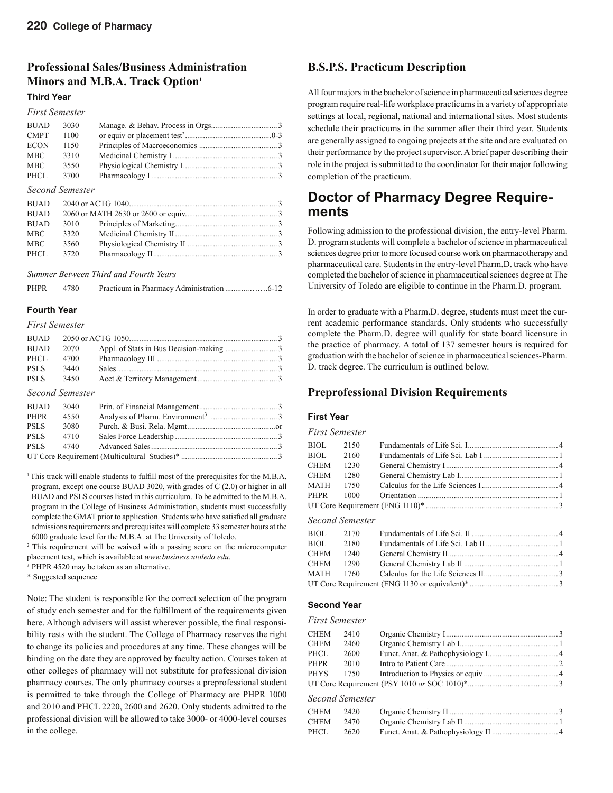## **Professional Sales/Business Administration Minors and M.B.A. Track Option1**

## **Third Year**

#### *Second Semester*

| 3010 |  |
|------|--|
| 3320 |  |
| 3560 |  |
| 3720 |  |
|      |  |

*Summer Between Third and Fourth Years*

| PHPR | 4780 |  |
|------|------|--|
|      |      |  |

## **Fourth Year**

*First Semester*

| <b>BUAD</b> |      |  |
|-------------|------|--|
| <b>BUAD</b> | 2070 |  |
| PHCL        | 4700 |  |
| <b>PSLS</b> | 3440 |  |
| <b>PSLS</b> | 3450 |  |
|             |      |  |

#### *Second Semester*

| <b>BUAD</b> | 3040 |  |
|-------------|------|--|
| PHPR        | 4550 |  |
| <b>PSLS</b> | 3080 |  |
| <b>PSLS</b> | 4710 |  |
| <b>PSLS</b> | 4740 |  |
|             |      |  |

<sup>1</sup> This track will enable students to fulfill most of the prerequisites for the M.B.A. program, except one course BUAD 3020, with grades of C (2.0) or higher in all BUAD and PSLS courses listed in this curriculum. To be admitted to the M.B.A. program in the College of Business Administration, students must successfully complete the GMAT prior to application. Students who have satisfied all graduate admissions requirements and prerequisites will complete 33 semester hours at the 6000 graduate level for the M.B.A. at The University of Toledo.

<sup>2</sup> This requirement will be waived with a passing score on the microcomputer placement test, which is available at *www.business.utoledo.edu*.

<sup>3</sup> PHPR 4520 may be taken as an alternative.

\* Suggested sequence

Note: The student is responsible for the correct selection of the program of study each semester and for the fulfillment of the requirements given here. Although advisers will assist wherever possible, the final responsibility rests with the student. The College of Pharmacy reserves the right to change its policies and procedures at any time. These changes will be binding on the date they are approved by faculty action. Courses taken at other colleges of pharmacy will not substitute for professional division pharmacy courses. The only pharmacy courses a preprofessional student is permitted to take through the College of Pharmacy are PHPR 1000 and 2010 and PHCL 2220, 2600 and 2620. Only students admitted to the professional division will be allowed to take 3000- or 4000-level courses in the college.

## **B.S.P.S. Practicum Description**

All four majors in the bachelor of science in pharmaceutical sciences degree program require real-life workplace practicums in a variety of appropriate settings at local, regional, national and international sites. Most students schedule their practicums in the summer after their third year. Students are generally assigned to ongoing projects at the site and are evaluated on their performance by the project supervisor. A brief paper describing their role in the project is submitted to the coordinator for their major following completion of the practicum.

## **Doctor of Pharmacy Degree Requirements**

Following admission to the professional division, the entry-level Pharm. D. program students will complete a bachelor of science in pharmaceutical sciences degree prior to more focused course work on pharmacotherapy and pharmaceutical care. Students in the entry-level Pharm.D. track who have completed the bachelor of science in pharmaceutical sciences degree at The University of Toledo are eligible to continue in the Pharm.D. program.

In order to graduate with a Pharm.D. degree, students must meet the current academic performance standards. Only students who successfully complete the Pharm.D. degree will qualify for state board licensure in the practice of pharmacy. A total of 137 semester hours is required for graduation with the bachelor of science in pharmaceutical sciences-Pharm. D. track degree. The curriculum is outlined below.

## **Preprofessional Division Requirements**

## **First Year**

#### *First Semester*

| BIOL 2150 |  |  |
|-----------|--|--|
| BIOL 2160 |  |  |
| CHEM 1230 |  |  |
| CHEM 1280 |  |  |
| MATH 1750 |  |  |
|           |  |  |
|           |  |  |
|           |  |  |

#### *Second Semester*

| BIOL 2170 |  |  |
|-----------|--|--|
| BIOL 2180 |  |  |
| CHEM 1240 |  |  |
| CHEM 1290 |  |  |
|           |  |  |
|           |  |  |
|           |  |  |

### **Second Year**

#### *First Semester*

| CHEM 2410 |           |  |
|-----------|-----------|--|
| CHEM      | 2460      |  |
| PHCL      | 2600      |  |
| PHPR 2010 |           |  |
|           | PHYS 1750 |  |
|           |           |  |

#### *Second Semester*

| CHEM 2420 |      |  |
|-----------|------|--|
| CHEM 2470 |      |  |
| PHCL.     | 2620 |  |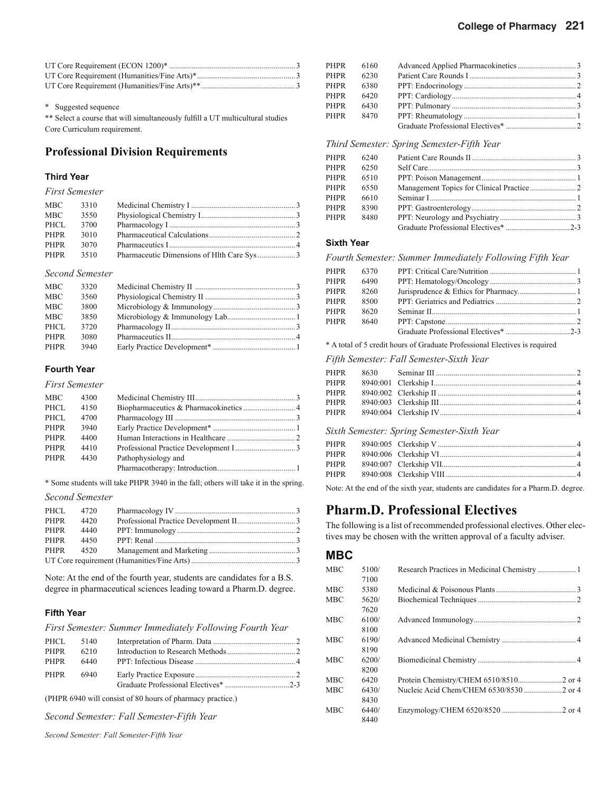\* Suggested sequence

\*\* Select a course that will simultaneously fulfill a UT multicultural studies Core Curriculum requirement.

## **Professional Division Requirements**

## **Third Year**

*First Semester*

| MBC         | 3310 |  |
|-------------|------|--|
| MBC.        | 3550 |  |
| PHCL        | 3700 |  |
| <b>PHPR</b> | 3010 |  |
| <b>PHPR</b> | 3070 |  |
| PHPR        | 3510 |  |

#### *Second Semester*

| MBC         | 3320 |  |
|-------------|------|--|
| <b>MBC</b>  | 3560 |  |
| <b>MBC</b>  | 3800 |  |
| <b>MBC</b>  | 3850 |  |
| PHCL        | 3720 |  |
| <b>PHPR</b> | 3080 |  |
| PHPR        | 3940 |  |

## **Fourth Year**

*First Semester*

| <b>MBC</b> | 4300 |                     |  |
|------------|------|---------------------|--|
| PHCL       | 4150 |                     |  |
| PHCL       | 4700 |                     |  |
| PHPR       | 3940 |                     |  |
| PHPR       | 4400 |                     |  |
| PHPR       | 4410 |                     |  |
| PHPR       | 4430 | Pathophysiology and |  |
|            |      |                     |  |
|            |      |                     |  |

\* Some students will take PHPR 3940 in the fall; others will take it in the spring.

## *Second Semester*

| PHCL        | 4720 |                       |  |
|-------------|------|-----------------------|--|
| <b>PHPR</b> | 4420 |                       |  |
| <b>PHPR</b> | 4440 |                       |  |
| PHPR        | 4450 | PPT: Renal $\ldots$ 3 |  |
| PHPR        | 4520 |                       |  |
|             |      |                       |  |

Note: At the end of the fourth year, students are candidates for a B.S. degree in pharmaceutical sciences leading toward a Pharm.D. degree.

#### **Fifth Year**

*First Semester: Summer Immediately Following Fourth Year*

| PHCL | 5140 |  |
|------|------|--|
| PHPR | 6210 |  |
| PHPR | 6440 |  |
| PHPR | 6940 |  |
|      |      |  |

(PHPR 6940 will consist of 80 hours of pharmacy practice.)

*Second Semester: Fall Semester-Fifth Year*

*Second Semester: Fall Semester-Fifth Year*

| PHPR | 6160 |  |
|------|------|--|
| PHPR | 6230 |  |
| PHPR | 6380 |  |
| PHPR | 6420 |  |
| PHPR | 6430 |  |
| PHPR | 8470 |  |
|      |      |  |

### *Third Semester: Spring Semester-Fifth Year*

| PHPR        | 6240 |  |
|-------------|------|--|
| <b>PHPR</b> | 6250 |  |
| <b>PHPR</b> | 6510 |  |
| <b>PHPR</b> | 6550 |  |
| <b>PHPR</b> | 6610 |  |
| <b>PHPR</b> | 8390 |  |
| <b>PHPR</b> | 8480 |  |
|             |      |  |
|             |      |  |

## **Sixth Year**

*Fourth Semester: Summer Immediately Following Fifth Year*

| PHPR | 6370 |  |
|------|------|--|
| PHPR | 6490 |  |
| PHPR | 8260 |  |
| PHPR | 8500 |  |
| PHPR | 8620 |  |
| PHPR | 8640 |  |
|      |      |  |
|      |      |  |

### \* A total of 5 credit hours of Graduate Professional Electives is required

#### *Fifth Semester: Fall Semester-Sixth Year*

#### *Sixth Semester: Spring Semester-Sixth Year*

| PHPR |  |  |
|------|--|--|
|      |  |  |
|      |  |  |
|      |  |  |

Note: At the end of the sixth year, students are candidates for a Pharm.D. degree.

## **Pharm.D. Professional Electives**

The following is a list of recommended professional electives. Other electives may be chosen with the written approval of a faculty adviser.

## **MBC**

| MBC | 5100/ |  |
|-----|-------|--|
|     | 7100  |  |
| MBC | 5380  |  |
| MBC | 5620/ |  |
|     | 7620  |  |
| MBC | 6100/ |  |
|     | 8100  |  |
| MBC | 6190/ |  |
|     | 8190  |  |
| MBC | 6200/ |  |
|     | 8200  |  |
| MBC | 6420  |  |
| MBC | 6430/ |  |
|     | 8430  |  |
| MBC | 6440/ |  |
|     | 8440  |  |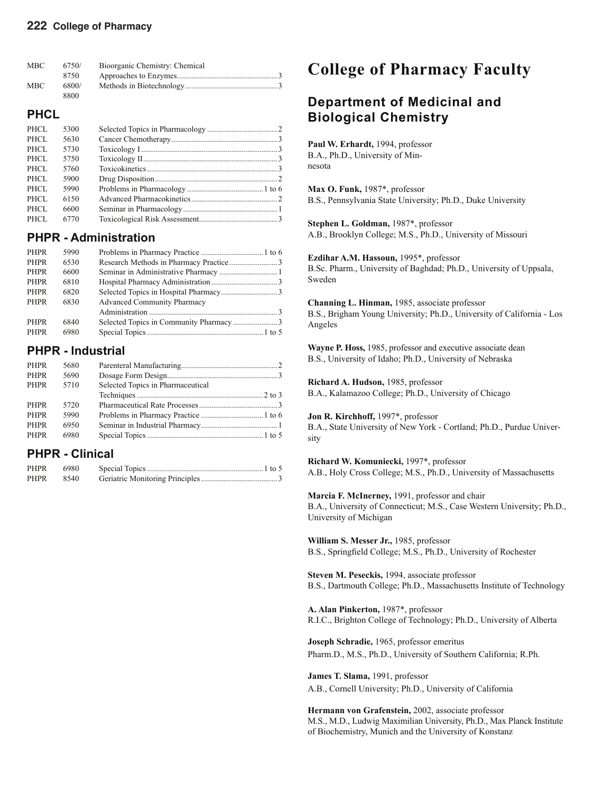| <b>MBC</b> | 6750/ | Bioorganic Chemistry: Chemical |  |
|------------|-------|--------------------------------|--|
|            | 8750  |                                |  |
| MBC        | 6800/ |                                |  |
|            | 8800  |                                |  |

## **PHCL**

| PHCL | 5300 |  |
|------|------|--|
| PHCL | 5630 |  |
| PHCL | 5730 |  |
| PHCL | 5750 |  |
| PHCL | 5760 |  |
| PHCL | 5900 |  |
| PHCL | 5990 |  |
| PHCL | 6150 |  |
| PHCL | 6600 |  |
| PHCL | 6770 |  |

## **PHPR - Administration**

| PHPR        | 5990 |                                    |  |
|-------------|------|------------------------------------|--|
| <b>PHPR</b> | 6530 |                                    |  |
| <b>PHPR</b> | 6600 |                                    |  |
| <b>PHPR</b> | 6810 |                                    |  |
| PHPR        | 6820 |                                    |  |
| <b>PHPR</b> | 6830 | <b>Advanced Community Pharmacy</b> |  |
|             |      |                                    |  |
| PHPR        | 6840 |                                    |  |
| <b>PHPR</b> | 6980 |                                    |  |

## **PHPR - Industrial**

| PHPR        | 5680 |                                   |  |
|-------------|------|-----------------------------------|--|
| <b>PHPR</b> | 5690 |                                   |  |
| PHPR        | 5710 | Selected Topics in Pharmaceutical |  |
|             |      |                                   |  |
| <b>PHPR</b> | 5720 |                                   |  |
| PHPR        | 5990 |                                   |  |
| <b>PHPR</b> | 6950 |                                   |  |
| PHPR        | 6980 |                                   |  |

## **PHPR - Clinical**

| <b>PHPR</b> | 6980 |  |
|-------------|------|--|
| <b>PHPR</b> | 8540 |  |

# **College of Pharmacy Faculty**

# **Department of Medicinal and Biological Chemistry**

Paul W. Erhardt, 1994, professor B.A., Ph.D., University of Minnesota

**Max O. Funk,** 1987\*, professor B.S., Pennsylvania State University; Ph.D., Duke University

**Stephen L. Goldman,** 1987\*, professor A.B., Brooklyn College; M.S., Ph.D., University of Missouri

**Ezdihar A.M. Hassoun,** 1995\*, professor B.Sc. Pharm., University of Baghdad; Ph.D., University of Uppsala, Sweden

**Channing L. Hinman,** 1985, associate professor B.S., Brigham Young University; Ph.D., University of California - Los Angeles

**Wayne P. Hoss,** 1985, professor and executive associate dean B.S., University of Idaho; Ph.D., University of Nebraska

**Richard A. Hudson,** 1985, professor B.A., Kalamazoo College; Ph.D., University of Chicago

**Jon R. Kirchhoff,** 1997\*, professor B.A., State University of New York - Cortland; Ph.D., Purdue University

**Richard W. Komuniecki,** 1997\*, professor A.B., Holy Cross College; M.S., Ph.D., University of Massachusetts

**Marcia F. McInerney,** 1991, professor and chair B.A., University of Connecticut; M.S., Case Western University; Ph.D., University of Michigan

**William S. Messer Jr.,** 1985, professor B.S., Springfield College; M.S., Ph.D., University of Rochester

**Steven M. Peseckis,** 1994, associate professor B.S., Dartmouth College; Ph.D., Massachusetts Institute of Technology

**A. Alan Pinkerton,** 1987\*, professor R.I.C., Brighton College of Technology; Ph.D., University of Alberta

**Joseph Schradie,** 1965, professor emeritus Pharm.D., M.S., Ph.D., University of Southern California; R.Ph.

**James T. Slama,** 1991, professor A.B., Cornell University; Ph.D., University of California

**Hermann von Grafenstein,** 2002, associate professor M.S., M.D., Ludwig Maximilian University, Ph.D., Max Planck Institute of Biochemistry, Munich and the University of Konstanz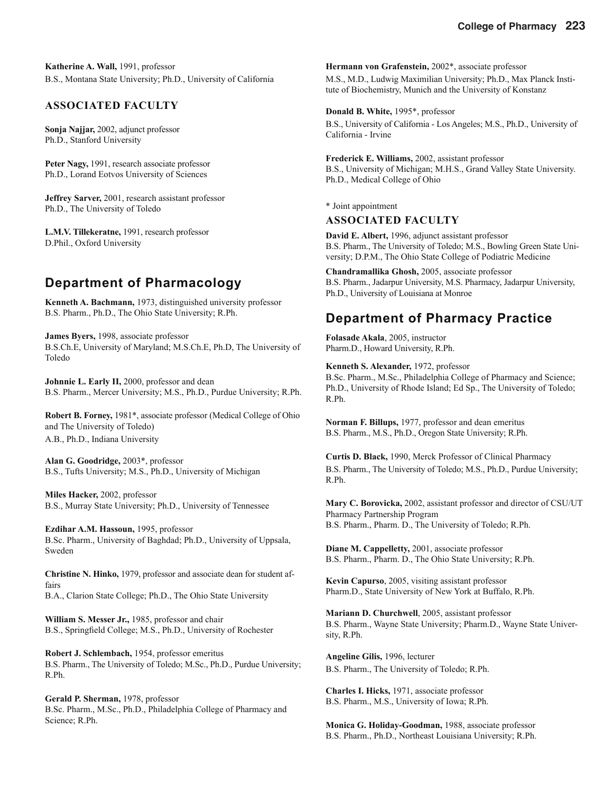**Katherine A. Wall,** 1991, professor B.S., Montana State University; Ph.D., University of California

## **ASSOCIATED FACULTY**

**Sonja Najjar,** 2002, adjunct professor Ph.D., Stanford University

**Peter Nagy,** 1991, research associate professor Ph.D., Lorand Eotvos University of Sciences

**Jeffrey Sarver,** 2001, research assistant professor Ph.D., The University of Toledo

**L.M.V. Tillekeratne,** 1991, research professor D.Phil., Oxford University

## **Department of Pharmacology**

**Kenneth A. Bachmann,** 1973, distinguished university professor B.S. Pharm., Ph.D., The Ohio State University; R.Ph.

**James Byers,** 1998, associate professor B.S.Ch.E, University of Maryland; M.S.Ch.E, Ph.D, The University of Toledo

**Johnnie L. Early II,** 2000, professor and dean B.S. Pharm., Mercer University; M.S., Ph.D., Purdue University; R.Ph.

**Robert B. Forney,** 1981\*, associate professor (Medical College of Ohio and The University of Toledo) A.B., Ph.D., Indiana University

**Alan G. Goodridge,** 2003\*, professor B.S., Tufts University; M.S., Ph.D., University of Michigan

**Miles Hacker,** 2002, professor B.S., Murray State University; Ph.D., University of Tennessee

**Ezdihar A.M. Hassoun,** 1995, professor B.Sc. Pharm., University of Baghdad; Ph.D., University of Uppsala, Sweden

**Christine N. Hinko,** 1979, professor and associate dean for student affairs

B.A., Clarion State College; Ph.D., The Ohio State University

**William S. Messer Jr.,** 1985, professor and chair B.S., Springfield College; M.S., Ph.D., University of Rochester

**Robert J. Schlembach,** 1954, professor emeritus B.S. Pharm., The University of Toledo; M.Sc., Ph.D., Purdue University; R.Ph.

**Gerald P. Sherman,** 1978, professor B.Sc. Pharm., M.Sc., Ph.D., Philadelphia College of Pharmacy and Science; R.Ph.

**Hermann von Grafenstein,** 2002\*, associate professor M.S., M.D., Ludwig Maximilian University; Ph.D., Max Planck Institute of Biochemistry, Munich and the University of Konstanz

**Donald B. White,** 1995\*, professor B.S., University of California - Los Angeles; M.S., Ph.D., University of California - Irvine

**Frederick E. Williams,** 2002, assistant professor B.S., University of Michigan; M.H.S., Grand Valley State University. Ph.D., Medical College of Ohio

\* Joint appointment

## **ASSOCIATED FACULTY**

**David E. Albert,** 1996, adjunct assistant professor B.S. Pharm., The University of Toledo; M.S., Bowling Green State University; D.P.M., The Ohio State College of Podiatric Medicine

**Chandramallika Ghosh,** 2005, associate professor B.S. Pharm., Jadarpur University, M.S. Pharmacy, Jadarpur University, Ph.D., University of Louisiana at Monroe

## **Department of Pharmacy Practice**

**Folasade Akala**, 2005, instructor Pharm.D., Howard University, R.Ph.

**Kenneth S. Alexander,** 1972, professor B.Sc. Pharm., M.Sc., Philadelphia College of Pharmacy and Science; Ph.D., University of Rhode Island; Ed Sp., The University of Toledo; R.Ph.

**Norman F. Billups,** 1977, professor and dean emeritus B.S. Pharm., M.S., Ph.D., Oregon State University; R.Ph.

**Curtis D. Black,** 1990, Merck Professor of Clinical Pharmacy B.S. Pharm., The University of Toledo; M.S., Ph.D., Purdue University; R.Ph.

**Mary C. Borovicka,** 2002, assistant professor and director of CSU/UT Pharmacy Partnership Program B.S. Pharm., Pharm. D., The University of Toledo; R.Ph.

**Diane M. Cappelletty,** 2001, associate professor B.S. Pharm., Pharm. D., The Ohio State University; R.Ph.

**Kevin Capurso**, 2005, visiting assistant professor Pharm.D., State University of New York at Buffalo, R.Ph.

**Mariann D. Churchwell**, 2005, assistant professor B.S. Pharm., Wayne State University; Pharm.D., Wayne State University, R.Ph.

**Angeline Gilis,** 1996, lecturer B.S. Pharm., The University of Toledo; R.Ph.

**Charles I. Hicks,** 1971, associate professor B.S. Pharm., M.S., University of Iowa; R.Ph.

**Monica G. Holiday-Goodman,** 1988, associate professor B.S. Pharm., Ph.D., Northeast Louisiana University; R.Ph.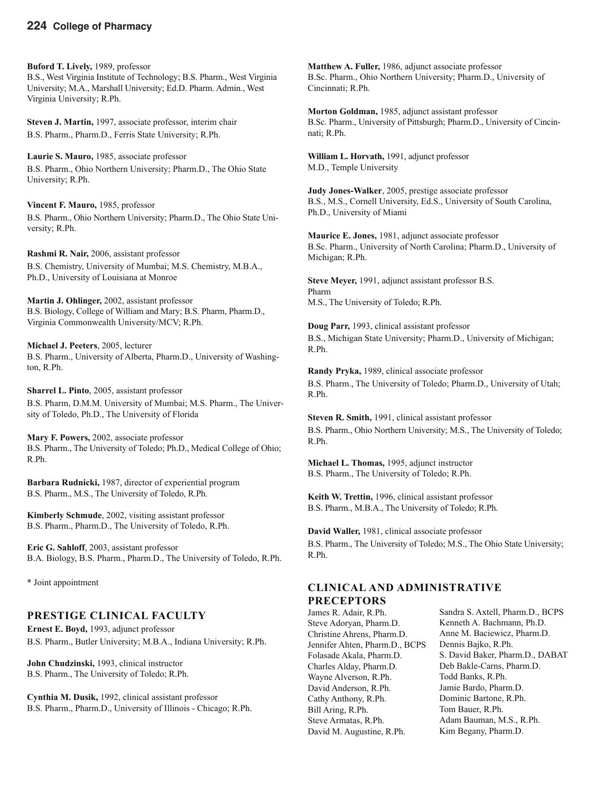## **224 College of Pharmacy**

**Buford T. Lively,** 1989, professor B.S., West Virginia Institute of Technology; B.S. Pharm., West Virginia University; M.A., Marshall University; Ed.D. Pharm. Admin., West Virginia University; R.Ph.

**Steven J. Martin,** 1997, associate professor, interim chair B.S. Pharm., Pharm.D., Ferris State University; R.Ph.

**Laurie S. Mauro,** 1985, associate professor B.S. Pharm., Ohio Northern University; Pharm.D., The Ohio State University; R.Ph.

**Vincent F. Mauro,** 1985, professor B.S. Pharm., Ohio Northern University; Pharm.D., The Ohio State University; R.Ph.

**Rashmi R. Nair,** 2006, assistant professor B.S. Chemistry, University of Mumbai; M.S. Chemistry, M.B.A., Ph.D., University of Louisiana at Monroe

**Martin J. Ohlinger,** 2002, assistant professor B.S. Biology, College of William and Mary; B.S. Pharm, Pharm.D., Virginia Commonwealth University/MCV; R.Ph.

**Michael J. Peeters**, 2005, lecturer B.S. Pharm., University of Alberta, Pharm.D., University of Washington, R.Ph.

**Sharrel L. Pinto**, 2005, assistant professor B.S. Pharm, D.M.M. University of Mumbai; M.S. Pharm., The University of Toledo, Ph.D., The University of Florida

**Mary F. Powers,** 2002, associate professor B.S. Pharm., The University of Toledo; Ph.D., Medical College of Ohio; R.Ph.

**Barbara Rudnicki,** 1987, director of experiential program B.S. Pharm., M.S., The University of Toledo, R.Ph.

**Kimberly Schmude**, 2002, visiting assistant professor B.S. Pharm., Pharm.D., The University of Toledo, R.Ph.

**Eric G. Sahloff**, 2003, assistant professor B.A. Biology, B.S. Pharm., Pharm.D., The University of Toledo, R.Ph.

\* Joint appointment

### **PRESTIGE CLINICAL FACULTY**

**Ernest E. Boyd,** 1993, adjunct professor B.S. Pharm., Butler University; M.B.A., Indiana University; R.Ph.

**John Chudzinski,** 1993, clinical instructor B.S. Pharm., The University of Toledo; R.Ph.

**Cynthia M. Dusik,** 1992, clinical assistant professor B.S. Pharm., Pharm.D., University of Illinois - Chicago; R.Ph.

**Matthew A. Fuller,** 1986, adjunct associate professor B.Sc. Pharm., Ohio Northern University; Pharm.D., University of Cincinnati; R.Ph.

**Morton Goldman,** 1985, adjunct assistant professor B.Sc. Pharm., University of Pittsburgh; Pharm.D., University of Cincinnati; R.Ph.

**William L. Horvath,** 1991, adjunct professor M.D., Temple University

**Judy Jones-Walker**, 2005, prestige associate professor B.S., M.S., Cornell University, Ed.S., University of South Carolina, Ph.D., University of Miami

**Maurice E. Jones,** 1981, adjunct associate professor B.Sc. Pharm., University of North Carolina; Pharm.D., University of Michigan; R.Ph.

**Steve Meyer,** 1991, adjunct assistant professor B.S. Pharm M.S., The University of Toledo; R.Ph.

**Doug Parr,** 1993, clinical assistant professor B.S., Michigan State University; Pharm.D., University of Michigan; R.Ph.

**Randy Pryka,** 1989, clinical associate professor B.S. Pharm., The University of Toledo; Pharm.D., University of Utah; R.Ph.

**Steven R. Smith,** 1991, clinical assistant professor B.S. Pharm., Ohio Northern University; M.S., The University of Toledo; R.Ph.

**Michael L. Thomas,** 1995, adjunct instructor B.S. Pharm., The University of Toledo; R.Ph.

**Keith W. Trettin,** 1996, clinical assistant professor B.S. Pharm., M.B.A., The University of Toledo; R.Ph.

**David Waller,** 1981, clinical associate professor B.S. Pharm., The University of Toledo; M.S., The Ohio State University; R.Ph.

## **CLINICAL AND ADMINISTRATIVE PRECEPTORS**

James R. Adair, R.Ph. Steve Adoryan, Pharm.D. Christine Ahrens, Pharm.D. Jennifer Ahten, Pharm.D., BCPS Folasade Akala, Pharm.D. Charles Alday, Pharm.D. Wayne Alverson, R.Ph. David Anderson, R.Ph. Cathy Anthony, R.Ph. Bill Aring, R.Ph. Steve Armatas, R.Ph. David M. Augustine, R.Ph.

Sandra S. Axtell, Pharm.D., BCPS Kenneth A. Bachmann, Ph.D. Anne M. Baciewicz, Pharm.D. Dennis Bajko, R.Ph. S. David Baker, Pharm.D., DABAT Deb Bakle-Carns, Pharm.D. Todd Banks, R.Ph. Jamie Bardo, Pharm.D. Dominic Bartone, R.Ph. Tom Bauer, R.Ph. Adam Bauman, M.S., R.Ph. Kim Begany, Pharm.D.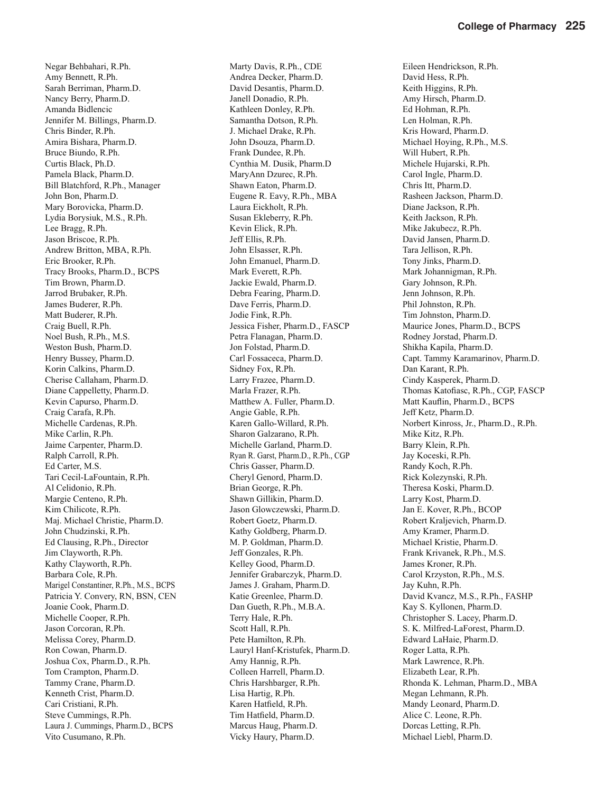Negar Behbahari, R.Ph. Amy Bennett, R.Ph. Sarah Berriman, Pharm.D. Nancy Berry, Pharm.D. Amanda Bidlencic Jennifer M. Billings, Pharm.D. Chris Binder, R.Ph. Amira Bishara, Pharm.D. Bruce Biundo, R.Ph. Curtis Black, Ph.D. Pamela Black, Pharm.D. Bill Blatchford, R.Ph., Manager John Bon, Pharm.D. Mary Borovicka, Pharm.D. Lydia Borysiuk, M.S., R.Ph. Lee Bragg, R.Ph. Jason Briscoe, R.Ph. Andrew Britton, MBA, R.Ph. Eric Brooker, R.Ph. Tracy Brooks, Pharm.D., BCPS Tim Brown, Pharm.D. Jarrod Brubaker, R.Ph. James Buderer, R.Ph. Matt Buderer, R.Ph. Craig Buell, R.Ph. Noel Bush, R.Ph., M.S. Weston Bush, Pharm.D. Henry Bussey, Pharm.D. Korin Calkins, Pharm.D. Cherise Callaham, Pharm.D. Diane Cappelletty, Pharm.D. Kevin Capurso, Pharm.D. Craig Carafa, R.Ph. Michelle Cardenas, R.Ph. Mike Carlin, R.Ph. Jaime Carpenter, Pharm.D. Ralph Carroll, R.Ph. Ed Carter, M.S. Tari Cecil-LaFountain, R.Ph. Al Celidonio, R.Ph. Margie Centeno, R.Ph. Kim Chilicote, R.Ph. Maj. Michael Christie, Pharm.D. John Chudzinski, R.Ph. Ed Clausing, R.Ph., Director Jim Clayworth, R.Ph. Kathy Clayworth, R.Ph. Barbara Cole, R.Ph. Marigel Constantiner, R.Ph., M.S., BCPS Patricia Y. Convery, RN, BSN, CEN Joanie Cook, Pharm.D. Michelle Cooper, R.Ph. Jason Corcoran, R.Ph. Melissa Corey, Pharm.D. Ron Cowan, Pharm.D. Joshua Cox, Pharm.D., R.Ph. Tom Crampton, Pharm.D. Tammy Crane, Pharm.D. Kenneth Crist, Pharm.D. Cari Cristiani, R.Ph. Steve Cummings, R.Ph. Laura J. Cummings, Pharm.D., BCPS Vito Cusumano, R.Ph.

Marty Davis, R.Ph., CDE Andrea Decker, Pharm.D. David Desantis, Pharm.D. Janell Donadio, R.Ph. Kathleen Donley, R.Ph. Samantha Dotson, R.Ph. J. Michael Drake, R.Ph. John Dsouza, Pharm.D. Frank Dundee, R.Ph. Cynthia M. Dusik, Pharm.D MaryAnn Dzurec, R.Ph. Shawn Eaton, Pharm.D. Eugene R. Eavy, R.Ph., MBA Laura Eickholt, R.Ph. Susan Ekleberry, R.Ph. Kevin Elick, R.Ph. Jeff Ellis, R.Ph. John Elsasser, R.Ph. John Emanuel, Pharm.D. Mark Everett, R.Ph. Jackie Ewald, Pharm.D. Debra Fearing, Pharm.D. Dave Ferris, Pharm.D. Jodie Fink, R.Ph. Jessica Fisher, Pharm.D., FASCP Petra Flanagan, Pharm.D. Jon Folstad, Pharm.D. Carl Fossaceca, Pharm.D. Sidney Fox, R.Ph. Larry Frazee, Pharm.D. Marla Frazer, R.Ph. Matthew A. Fuller, Pharm.D. Angie Gable, R.Ph. Karen Gallo-Willard, R.Ph. Sharon Galzarano, R.Ph. Michelle Garland, Pharm.D. Ryan R. Garst, Pharm.D., R.Ph., CGP Chris Gasser, Pharm.D. Cheryl Genord, Pharm.D. Brian George, R.Ph. Shawn Gillikin, Pharm.D. Jason Glowczewski, Pharm.D. Robert Goetz, Pharm.D. Kathy Goldberg, Pharm.D. M. P. Goldman, Pharm.D. Jeff Gonzales, R.Ph. Kelley Good, Pharm.D. Jennifer Grabarczyk, Pharm.D. James J. Graham, Pharm.D. Katie Greenlee, Pharm.D. Dan Gueth, R.Ph., M.B.A. Terry Hale, R.Ph. Scott Hall, R.Ph. Pete Hamilton, R.Ph. Lauryl Hanf-Kristufek, Pharm.D. Amy Hannig, R.Ph. Colleen Harrell, Pharm.D. Chris Harshbarger, R.Ph. Lisa Hartig, R.Ph. Karen Hatfield, R.Ph. Tim Hatfield, Pharm.D. Marcus Haug, Pharm.D. Vicky Haury, Pharm.D.

Eileen Hendrickson, R.Ph. David Hess, R.Ph. Keith Higgins, R.Ph. Amy Hirsch, Pharm.D. Ed Hohman, R.Ph. Len Holman, R.Ph. Kris Howard, Pharm.D. Michael Hoying, R.Ph., M.S. Will Hubert, R.Ph. Michele Hujarski, R.Ph. Carol Ingle, Pharm.D. Chris Itt, Pharm.D. Rasheen Jackson, Pharm.D. Diane Jackson, R.Ph. Keith Jackson, R.Ph. Mike Jakubecz, R.Ph. David Jansen, Pharm.D. Tara Jellison, R.Ph. Tony Jinks, Pharm.D. Mark Johannigman, R.Ph. Gary Johnson, R.Ph. Jenn Johnson, R.Ph. Phil Johnston, R.Ph. Tim Johnston, Pharm.D. Maurice Jones, Pharm.D., BCPS Rodney Jorstad, Pharm.D. Shikha Kapila, Pharm.D. Capt. Tammy Karamarinov, Pharm.D. Dan Karant, R.Ph. Cindy Kasperek, Pharm.D. Thomas Katofiasc, R.Ph., CGP, FASCP Matt Kauflin, Pharm.D., BCPS Jeff Ketz, Pharm.D. Norbert Kinross, Jr., Pharm.D., R.Ph. Mike Kitz, R.Ph. Barry Klein, R.Ph. Jay Koceski, R.Ph. Randy Koch, R.Ph. Rick Kolezynski, R.Ph. Theresa Koski, Pharm.D. Larry Kost, Pharm.D. Jan E. Kover, R.Ph., BCOP Robert Kraljevich, Pharm.D. Amy Kramer, Pharm.D. Michael Kristie, Pharm.D. Frank Krivanek, R.Ph., M.S. James Kroner, R.Ph. Carol Krzyston, R.Ph., M.S. Jay Kuhn, R.Ph. David Kvancz, M.S., R.Ph., FASHP Kay S. Kyllonen, Pharm.D. Christopher S. Lacey, Pharm.D. S. K. Milfred-LaForest, Pharm.D. Edward LaHaie, Pharm.D. Roger Latta, R.Ph. Mark Lawrence, R.Ph. Elizabeth Lear, R.Ph. Rhonda K. Lehman, Pharm.D., MBA Megan Lehmann, R.Ph. Mandy Leonard, Pharm.D. Alice C. Leone, R.Ph. Dorcas Letting, R.Ph. Michael Liebl, Pharm.D.